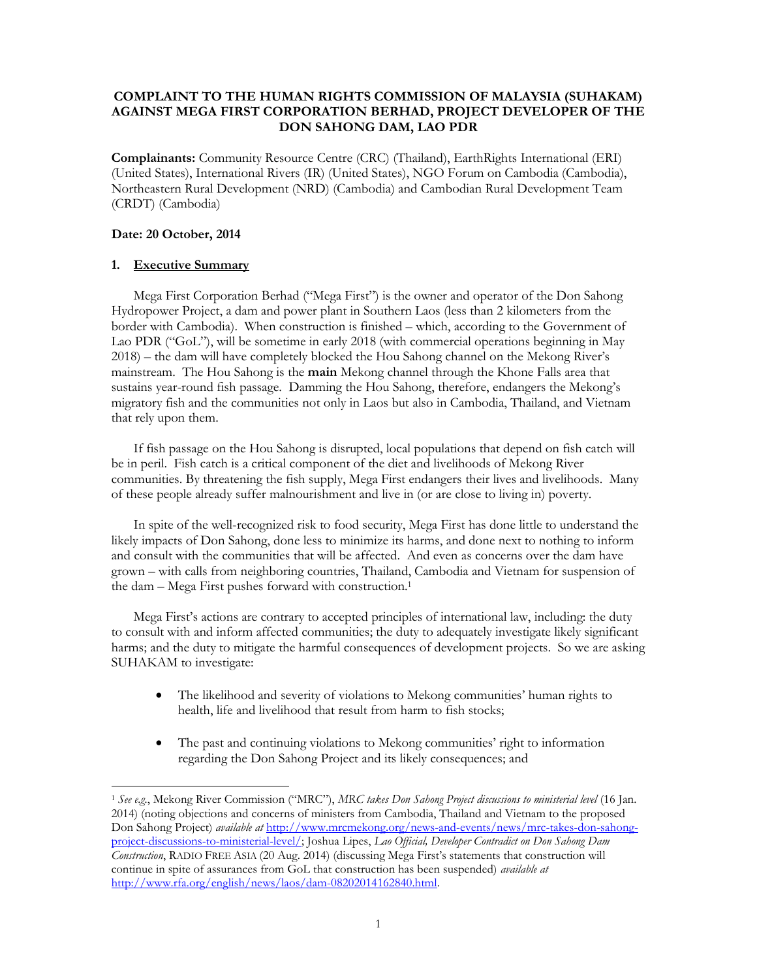# **COMPLAINT TO THE HUMAN RIGHTS COMMISSION OF MALAYSIA (SUHAKAM) AGAINST MEGA FIRST CORPORATION BERHAD, PROJECT DEVELOPER OF THE DON SAHONG DAM, LAO PDR**

**Complainants:** Community Resource Centre (CRC) (Thailand), EarthRights International (ERI) (United States), International Rivers (IR) (United States), NGO Forum on Cambodia (Cambodia), Northeastern Rural Development (NRD) (Cambodia) and Cambodian Rural Development Team (CRDT) (Cambodia)

## **Date: 20 October, 2014**

# **1. Executive Summary**

 $\overline{a}$ 

Mega First Corporation Berhad ("Mega First") is the owner and operator of the Don Sahong Hydropower Project, a dam and power plant in Southern Laos (less than 2 kilometers from the border with Cambodia). When construction is finished – which, according to the Government of Lao PDR ("GoL"), will be sometime in early 2018 (with commercial operations beginning in May 2018) – the dam will have completely blocked the Hou Sahong channel on the Mekong River's mainstream. The Hou Sahong is the **main** Mekong channel through the Khone Falls area that sustains year-round fish passage. Damming the Hou Sahong, therefore, endangers the Mekong's migratory fish and the communities not only in Laos but also in Cambodia, Thailand, and Vietnam that rely upon them.

If fish passage on the Hou Sahong is disrupted, local populations that depend on fish catch will be in peril. Fish catch is a critical component of the diet and livelihoods of Mekong River communities. By threatening the fish supply, Mega First endangers their lives and livelihoods. Many of these people already suffer malnourishment and live in (or are close to living in) poverty.

In spite of the well-recognized risk to food security, Mega First has done little to understand the likely impacts of Don Sahong, done less to minimize its harms, and done next to nothing to inform and consult with the communities that will be affected. And even as concerns over the dam have grown – with calls from neighboring countries, Thailand, Cambodia and Vietnam for suspension of the dam – Mega First pushes forward with construction.<sup>1</sup>

Mega First's actions are contrary to accepted principles of international law, including: the duty to consult with and inform affected communities; the duty to adequately investigate likely significant harms; and the duty to mitigate the harmful consequences of development projects. So we are asking SUHAKAM to investigate:

- The likelihood and severity of violations to Mekong communities' human rights to health, life and livelihood that result from harm to fish stocks;
- The past and continuing violations to Mekong communities' right to information regarding the Don Sahong Project and its likely consequences; and

<sup>1</sup> *See e.g.*, Mekong River Commission ("MRC"), *MRC takes Don Sahong Project discussions to ministerial level* (16 Jan. 2014) (noting objections and concerns of ministers from Cambodia, Thailand and Vietnam to the proposed Don Sahong Project) *available at* [http://www.mrcmekong.org/news-and-events/news/mrc-takes-don-sahong](http://www.mrcmekong.org/news-and-events/news/mrc-takes-don-sahong-project-discussions-to-ministerial-level/)[project-discussions-to-ministerial-level/;](http://www.mrcmekong.org/news-and-events/news/mrc-takes-don-sahong-project-discussions-to-ministerial-level/) Joshua Lipes, *Lao Official, Developer Contradict on Don Sahong Dam Construction*, RADIO FREE ASIA (20 Aug. 2014) (discussing Mega First's statements that construction will continue in spite of assurances from GoL that construction has been suspended) *available at* [http://www.rfa.org/english/news/laos/dam-08202014162840.html.](http://www.rfa.org/english/news/laos/dam-08202014162840.html)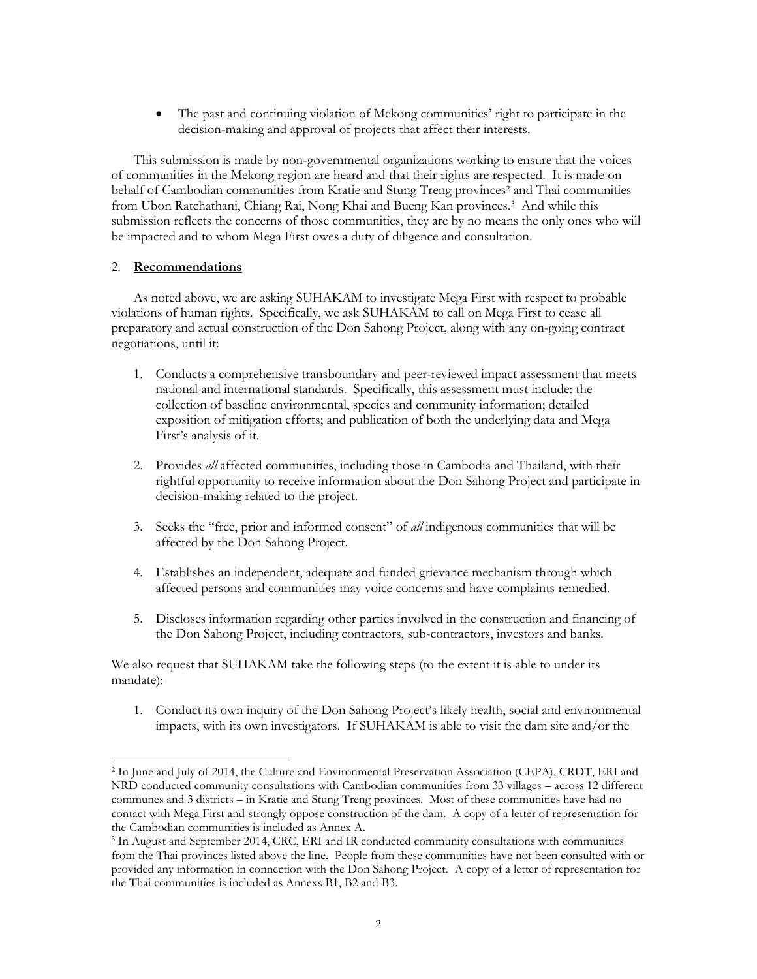The past and continuing violation of Mekong communities' right to participate in the decision-making and approval of projects that affect their interests.

This submission is made by non-governmental organizations working to ensure that the voices of communities in the Mekong region are heard and that their rights are respected. It is made on behalf of Cambodian communities from Kratie and Stung Treng provinces<sup>2</sup> and Thai communities from Ubon Ratchathani, Chiang Rai, Nong Khai and Bueng Kan provinces.<sup>3</sup> And while this submission reflects the concerns of those communities, they are by no means the only ones who will be impacted and to whom Mega First owes a duty of diligence and consultation.

## 2. **Recommendations**

As noted above, we are asking SUHAKAM to investigate Mega First with respect to probable violations of human rights. Specifically, we ask SUHAKAM to call on Mega First to cease all preparatory and actual construction of the Don Sahong Project, along with any on-going contract negotiations, until it:

- 1. Conducts a comprehensive transboundary and peer-reviewed impact assessment that meets national and international standards. Specifically, this assessment must include: the collection of baseline environmental, species and community information; detailed exposition of mitigation efforts; and publication of both the underlying data and Mega First's analysis of it.
- 2. Provides *all* affected communities, including those in Cambodia and Thailand, with their rightful opportunity to receive information about the Don Sahong Project and participate in decision-making related to the project.
- 3. Seeks the "free, prior and informed consent" of *all* indigenous communities that will be affected by the Don Sahong Project.
- 4. Establishes an independent, adequate and funded grievance mechanism through which affected persons and communities may voice concerns and have complaints remedied.
- 5. Discloses information regarding other parties involved in the construction and financing of the Don Sahong Project, including contractors, sub-contractors, investors and banks.

We also request that SUHAKAM take the following steps (to the extent it is able to under its mandate):

1. Conduct its own inquiry of the Don Sahong Project's likely health, social and environmental impacts, with its own investigators. If SUHAKAM is able to visit the dam site and/or the

 $\overline{a}$ <sup>2</sup> In June and July of 2014, the Culture and Environmental Preservation Association (CEPA), CRDT, ERI and NRD conducted community consultations with Cambodian communities from 33 villages – across 12 different communes and 3 districts – in Kratie and Stung Treng provinces. Most of these communities have had no contact with Mega First and strongly oppose construction of the dam. A copy of a letter of representation for the Cambodian communities is included as Annex A.

<sup>&</sup>lt;sup>3</sup> In August and September 2014, CRC, ERI and IR conducted community consultations with communities from the Thai provinces listed above the line. People from these communities have not been consulted with or provided any information in connection with the Don Sahong Project. A copy of a letter of representation for the Thai communities is included as Annexs B1, B2 and B3.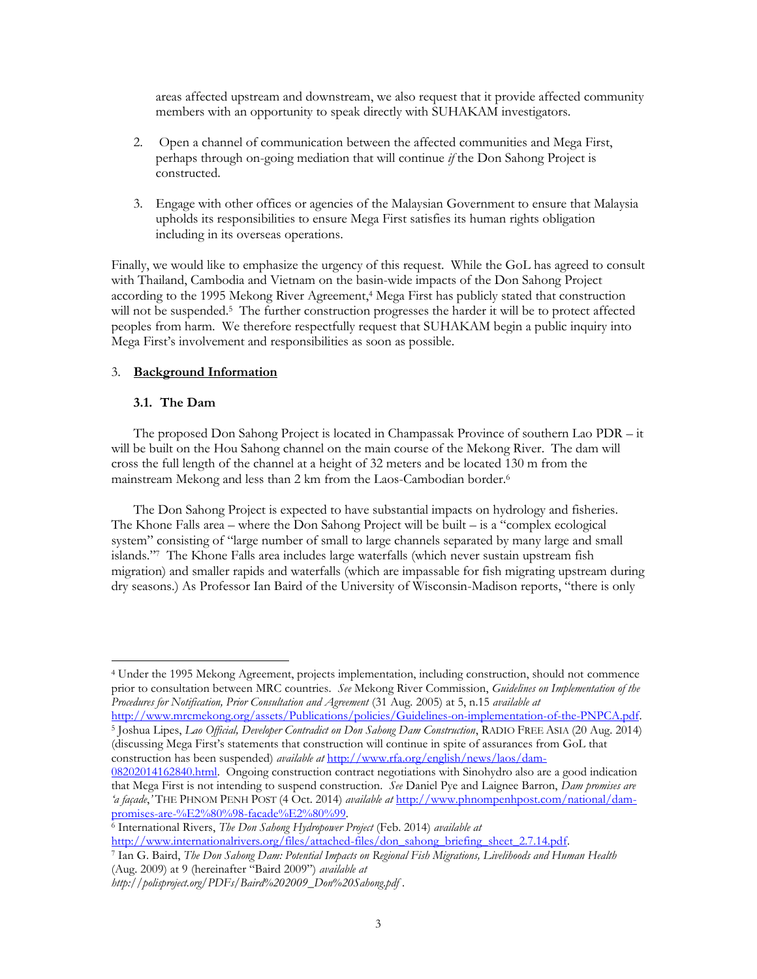areas affected upstream and downstream, we also request that it provide affected community members with an opportunity to speak directly with SUHAKAM investigators.

- 2. Open a channel of communication between the affected communities and Mega First, perhaps through on-going mediation that will continue *if* the Don Sahong Project is constructed.
- 3. Engage with other offices or agencies of the Malaysian Government to ensure that Malaysia upholds its responsibilities to ensure Mega First satisfies its human rights obligation including in its overseas operations.

Finally, we would like to emphasize the urgency of this request. While the GoL has agreed to consult with Thailand, Cambodia and Vietnam on the basin-wide impacts of the Don Sahong Project according to the 1995 Mekong River Agreement, <sup>4</sup> Mega First has publicly stated that construction will not be suspended.<sup>5</sup> The further construction progresses the harder it will be to protect affected peoples from harm. We therefore respectfully request that SUHAKAM begin a public inquiry into Mega First's involvement and responsibilities as soon as possible.

## 3. **Background Information**

## **3.1. The Dam**

 $\overline{a}$ 

The proposed Don Sahong Project is located in Champassak Province of southern Lao PDR – it will be built on the Hou Sahong channel on the main course of the Mekong River. The dam will cross the full length of the channel at a height of 32 meters and be located 130 m from the mainstream Mekong and less than 2 km from the Laos-Cambodian border.<sup>6</sup>

The Don Sahong Project is expected to have substantial impacts on hydrology and fisheries. The Khone Falls area – where the Don Sahong Project will be built – is a "complex ecological system" consisting of "large number of small to large channels separated by many large and small islands."<sup>7</sup> The Khone Falls area includes large waterfalls (which never sustain upstream fish migration) and smaller rapids and waterfalls (which are impassable for fish migrating upstream during dry seasons.) As Professor Ian Baird of the University of Wisconsin-Madison reports, "there is only

[http://www.mrcmekong.org/assets/Publications/policies/Guidelines-on-implementation-of-the-PNPCA.pdf.](http://www.mrcmekong.org/assets/Publications/policies/Guidelines-on-implementation-of-the-PNPCA.pdf) 5 Joshua Lipes, *Lao Official, Developer Contradict on Don Sahong Dam Construction*, RADIO FREE ASIA (20 Aug. 2014) (discussing Mega First's statements that construction will continue in spite of assurances from GoL that construction has been suspended) *available at* [http://www.rfa.org/english/news/laos/dam-](http://www.rfa.org/english/news/laos/dam-08202014162840.html)

<sup>4</sup> Under the 1995 Mekong Agreement, projects implementation, including construction, should not commence prior to consultation between MRC countries. *See* Mekong River Commission, *Guidelines on Implementation of the Procedures for Notification, Prior Consultation and Agreement* (31 Aug. 2005) at 5, n.15 *available at*

[<sup>08202014162840.</sup>html.](http://www.rfa.org/english/news/laos/dam-08202014162840.html) Ongoing construction contract negotiations with Sinohydro also are a good indication that Mega First is not intending to suspend construction. *See* Daniel Pye and Laignee Barron, *Dam promises are 'a façade*,*'* THE PHNOM PENH POST (4 Oct. 2014) *available at* [http://www.phnompenhpost.com/national/dam](http://www.phnompenhpost.com/national/dam-promises-are-%E2%80%98-facade%E2%80%99)[promises-are-%E2%80%98-facade%E2%80%99](http://www.phnompenhpost.com/national/dam-promises-are-%E2%80%98-facade%E2%80%99)*.* 

<sup>6</sup> International Rivers, *The Don Sahong Hydropower Project* (Feb. 2014) *available at*

[http://www.internationalrivers.org/files/attached-files/don\\_sahong\\_briefing\\_sheet\\_2.7.14.pdf.](http://www.internationalrivers.org/files/attached-files/don_sahong_briefing_sheet_2.7.14.pdf)

<sup>7</sup> Ian G. Baird, *The Don Sahong Dam: Potential Impacts on Regional Fish Migrations, Livelihoods and Human Health* (Aug. 2009) at 9 (hereinafter "Baird 2009") *available at*

*http://polisproject.org/PDFs/Baird%202009\_Don%20Sahong.pdf* .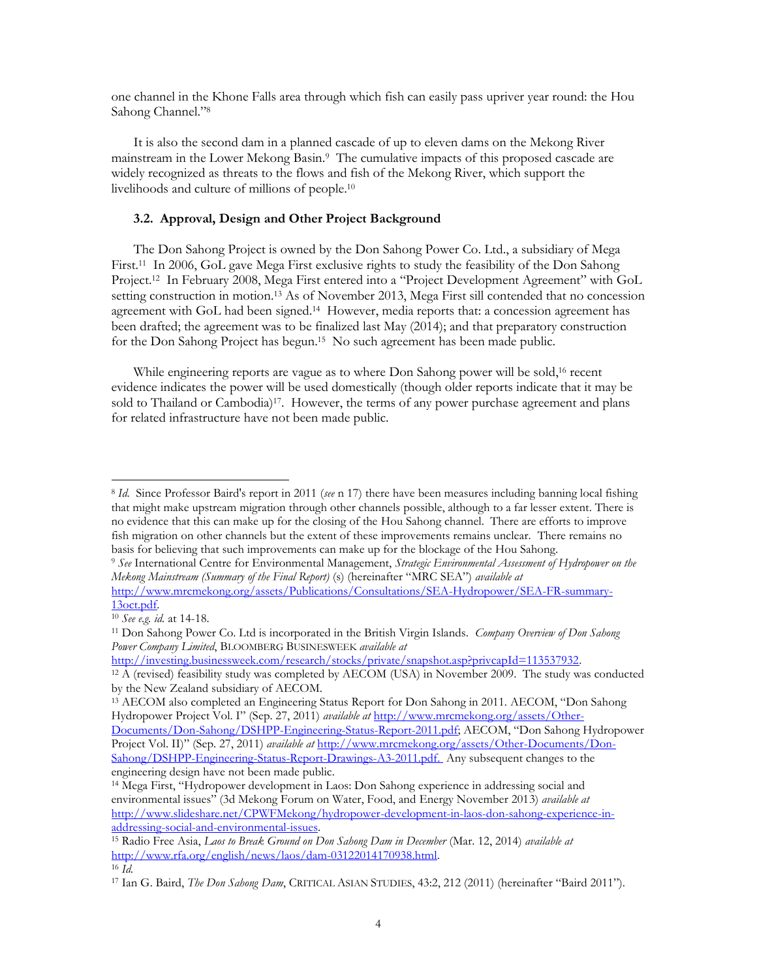one channel in the Khone Falls area through which fish can easily pass upriver year round: the Hou Sahong Channel."<sup>8</sup>

It is also the second dam in a planned cascade of up to eleven dams on the Mekong River mainstream in the Lower Mekong Basin.<sup>9</sup> The cumulative impacts of this proposed cascade are widely recognized as threats to the flows and fish of the Mekong River, which support the livelihoods and culture of millions of people.<sup>10</sup>

## **3.2. Approval, Design and Other Project Background**

The Don Sahong Project is owned by the Don Sahong Power Co. Ltd., a subsidiary of Mega First.<sup>11</sup> In 2006, GoL gave Mega First exclusive rights to study the feasibility of the Don Sahong Project.<sup>12</sup> In February 2008, Mega First entered into a "Project Development Agreement" with GoL setting construction in motion.<sup>13</sup> As of November 2013, Mega First sill contended that no concession agreement with GoL had been signed.<sup>14</sup> However, media reports that: a concession agreement has been drafted; the agreement was to be finalized last May (2014); and that preparatory construction for the Don Sahong Project has begun.<sup>15</sup> No such agreement has been made public.

While engineering reports are vague as to where Don Sahong power will be sold, <sup>16</sup> recent evidence indicates the power will be used domestically (though older reports indicate that it may be sold to Thailand or Cambodia)<sup>17</sup>. However, the terms of any power purchase agreement and plans for related infrastructure have not been made public.

 $\overline{a}$ 

<http://investing.businessweek.com/research/stocks/private/snapshot.asp?privcapId=113537932>*.* 

<sup>8</sup> *Id.* Since Professor Baird's report in 2011 (*see* n 17) there have been measures including banning local fishing that might make upstream migration through other channels possible, although to a far lesser extent. There is no evidence that this can make up for the closing of the Hou Sahong channel. There are efforts to improve fish migration on other channels but the extent of these improvements remains unclear. There remains no basis for believing that such improvements can make up for the blockage of the Hou Sahong.

<sup>9</sup> *See* International Centre for Environmental Management, *Strategic Environmental Assessment of Hydropower on the Mekong Mainstream (Summary of the Final Report)* (s) (hereinafter "MRC SEA") *available at* 

[http://www.mrcmekong.org/assets/Publications/Consultations/SEA-Hydropower/SEA-FR-summary-](http://www.mrcmekong.org/assets/Publications/Consultations/SEA-Hydropower/SEA-FR-summary-13oct.pdf)[13oct.pdf.](http://www.mrcmekong.org/assets/Publications/Consultations/SEA-Hydropower/SEA-FR-summary-13oct.pdf)

<sup>10</sup> *See e.g. id.* at 14-18.

<sup>11</sup> Don Sahong Power Co. Ltd is incorporated in the British Virgin Islands. *Company Overview of Don Sahong Power Company Limited*, BLOOMBERG BUSINESWEEK *available at* 

 $12$  Å (revised) feasibility study was completed by AECOM (USA) in November 2009. The study was conducted by the New Zealand subsidiary of AECOM.

<sup>13</sup> AECOM also completed an Engineering Status Report for Don Sahong in 2011*.* AECOM, "Don Sahong Hydropower Project Vol. I" (Sep. 27, 2011) *available at* [http://www.mrcmekong.org/assets/Other-](http://www.mrcmekong.org/assets/Other-Documents/Don-Sahong/DSHPP-Engineering-Status-Report-2011.pdf)

[Documents/Don-Sahong/DSHPP-Engineering-Status-Report-2011.pdf](http://www.mrcmekong.org/assets/Other-Documents/Don-Sahong/DSHPP-Engineering-Status-Report-2011.pdf); AECOM, "Don Sahong Hydropower Project Vol. II)" (Sep. 27, 2011) *available at* [http://www.mrcmekong.org/assets/Other-Documents/Don-](http://www.mrcmekong.org/assets/Other-Documents/Don-Sahong/DSHPP-Engineering-Status-Report-Drawings-A3-2011.pdf)[Sahong/DSHPP-Engineering-Status-Report-Drawings-A3-2011.pdf.](http://www.mrcmekong.org/assets/Other-Documents/Don-Sahong/DSHPP-Engineering-Status-Report-Drawings-A3-2011.pdf) Any subsequent changes to the engineering design have not been made public.

<sup>14</sup> Mega First, "Hydropower development in Laos: Don Sahong experience in addressing social and environmental issues" (3d Mekong Forum on Water, Food, and Energy November 2013) *available at*  [http://www.slideshare.net/CPWFMekong/hydropower-development-in-laos-don-sahong-experience-in](http://www.slideshare.net/CPWFMekong/hydropower-development-in-laos-don-sahong-experience-in-addressing-social-and-environmental-issues)[addressing-social-and-environmental-issues.](http://www.slideshare.net/CPWFMekong/hydropower-development-in-laos-don-sahong-experience-in-addressing-social-and-environmental-issues)

<sup>15</sup> Radio Free Asia, *Laos to Break Ground on Don Sahong Dam in December* (Mar. 12, 2014) *available at* [http://www.rfa.org/english/news/laos/dam-03122014170938.html.](http://www.rfa.org/english/news/laos/dam-03122014170938.html) 

<sup>16</sup> *Id.*

<sup>17</sup> Ian G. Baird, *The Don Sahong Dam*, CRITICAL ASIAN STUDIES, 43:2, 212 (2011) (hereinafter "Baird 2011").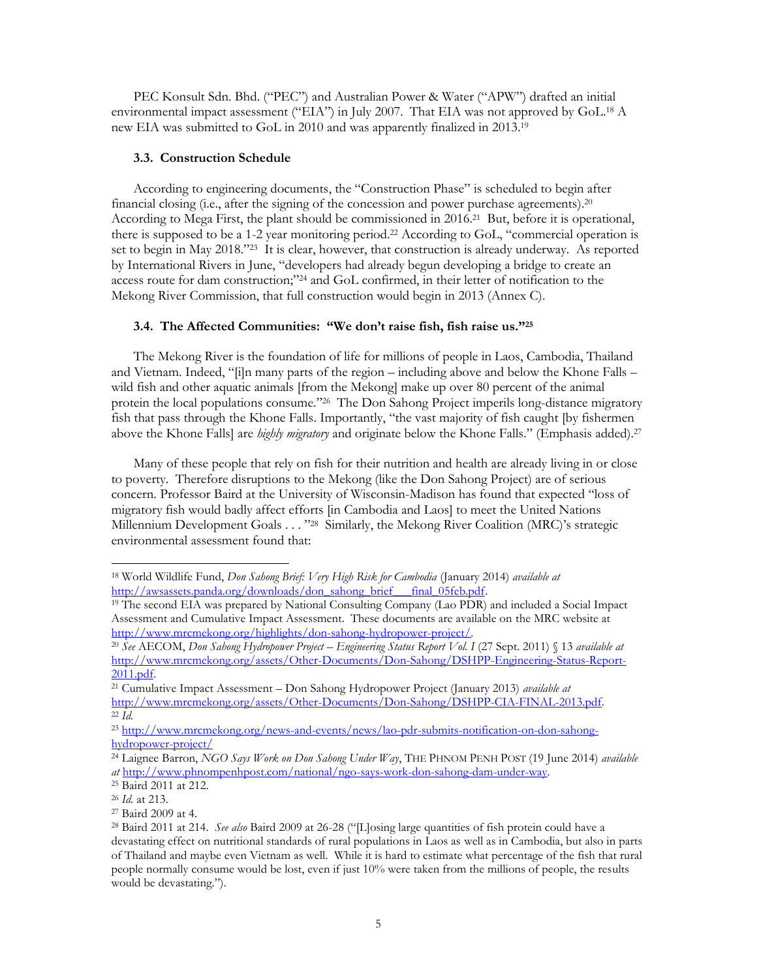PEC Konsult Sdn. Bhd. ("PEC") and Australian Power & Water ("APW") drafted an initial environmental impact assessment ("EIA") in July 2007. That EIA was not approved by GoL. <sup>18</sup> A new EIA was submitted to GoL in 2010 and was apparently finalized in 2013. 19

## **3.3. Construction Schedule**

According to engineering documents, the "Construction Phase" is scheduled to begin after financial closing (i.e., after the signing of the concession and power purchase agreements). 20 According to Mega First, the plant should be commissioned in 2016.<sup>21</sup> But, before it is operational, there is supposed to be a 1-2 year monitoring period.<sup>22</sup> According to GoL, "commercial operation is set to begin in May 2018."23 It is clear, however, that construction is already underway. As reported by International Rivers in June, "developers had already begun developing a bridge to create an access route for dam construction;" <sup>24</sup> and GoL confirmed, in their letter of notification to the Mekong River Commission, that full construction would begin in 2013 (Annex C).

## **3.4. The Affected Communities: "We don't raise fish, fish raise us."<sup>25</sup>**

The Mekong River is the foundation of life for millions of people in Laos, Cambodia, Thailand and Vietnam. Indeed, "[i]n many parts of the region – including above and below the Khone Falls – wild fish and other aquatic animals [from the Mekong] make up over 80 percent of the animal protein the local populations consume."<sup>26</sup> The Don Sahong Project imperils long-distance migratory fish that pass through the Khone Falls. Importantly, "the vast majority of fish caught [by fishermen above the Khone Falls] are *highly migratory* and originate below the Khone Falls." (Emphasis added).<sup>27</sup>

Many of these people that rely on fish for their nutrition and health are already living in or close to poverty. Therefore disruptions to the Mekong (like the Don Sahong Project) are of serious concern. Professor Baird at the University of Wisconsin-Madison has found that expected "loss of migratory fish would badly affect efforts [in Cambodia and Laos] to meet the United Nations Millennium Development Goals . . . "<sup>28</sup> Similarly, the Mekong River Coalition (MRC)'s strategic environmental assessment found that:

<sup>18</sup> World Wildlife Fund, *Don Sahong Brief: Very High Risk for Cambodia* (January 2014) *available at*  [http://awsassets.panda.org/downloads/don\\_sahong\\_brief\\_\\_\\_final\\_05feb.pdf.](http://awsassets.panda.org/downloads/don_sahong_brief___final_05feb.pdf)

<sup>19</sup> The second EIA was prepared by National Consulting Company (Lao PDR) and included a Social Impact Assessment and Cumulative Impact Assessment. These documents are available on the MRC website at [http://www.mrcmekong.org/highlights/don-sahong-hydropower-project/.](http://www.mrcmekong.org/highlights/don-sahong-hydropower-project/)

<sup>20</sup> *See* AECOM, *Don Sahong Hydropower Project – Engineering Status Report Vol. I* (27 Sept. 2011) § 13 *available at*  [http://www.mrcmekong.org/assets/Other-Documents/Don-Sahong/DSHPP-Engineering-Status-Report-](http://www.mrcmekong.org/assets/Other-Documents/Don-Sahong/DSHPP-Engineering-Status-Report-2011.pdf)[2011.pdf.](http://www.mrcmekong.org/assets/Other-Documents/Don-Sahong/DSHPP-Engineering-Status-Report-2011.pdf)

<sup>21</sup> Cumulative Impact Assessment – Don Sahong Hydropower Project (January 2013) *available at* [http://www.mrcmekong.org/assets/Other-Documents/Don-Sahong/DSHPP-CIA-FINAL-2013.pdf.](http://www.mrcmekong.org/assets/Other-Documents/Don-Sahong/DSHPP-CIA-FINAL-2013.pdf)  <sup>22</sup> *Id.*

<sup>23</sup> [http://www.mrcmekong.org/news-and-events/news/lao-pdr-submits-notification-on-don-sahong](http://www.mrcmekong.org/news-and-events/news/lao-pdr-submits-notification-on-don-sahong-hydropower-project/)[hydropower-project/](http://www.mrcmekong.org/news-and-events/news/lao-pdr-submits-notification-on-don-sahong-hydropower-project/)

<sup>24</sup> Laignee Barron, *NGO Says Work on Don Sahong Under Way*, THE PHNOM PENH POST (19 June 2014) *available at* [http://www.phnompenhpost.com/national/ngo-says-work-don-sahong-dam-under-way.](http://www.phnompenhpost.com/national/ngo-says-work-don-sahong-dam-under-way) 

<sup>25</sup> Baird 2011 at 212.

<sup>26</sup> *Id.* at 213.

<sup>27</sup> Baird 2009 at 4.

<sup>28</sup> Baird 2011 at 214. *See also* Baird 2009 at 26-28 ("[L]osing large quantities of fish protein could have a devastating effect on nutritional standards of rural populations in Laos as well as in Cambodia, but also in parts of Thailand and maybe even Vietnam as well. While it is hard to estimate what percentage of the fish that rural people normally consume would be lost, even if just 10% were taken from the millions of people, the results would be devastating.").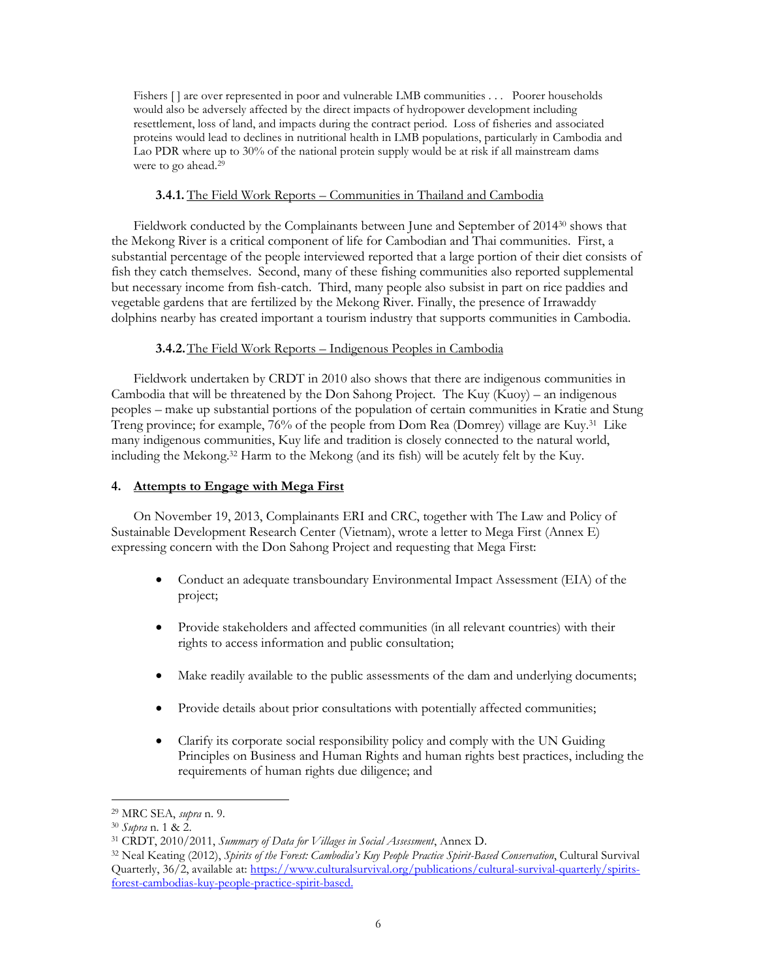Fishers [] are over represented in poor and vulnerable LMB communities . . . Poorer households would also be adversely affected by the direct impacts of hydropower development including resettlement, loss of land, and impacts during the contract period. Loss of fisheries and associated proteins would lead to declines in nutritional health in LMB populations, particularly in Cambodia and Lao PDR where up to 30% of the national protein supply would be at risk if all mainstream dams were to go ahead.<sup>29</sup>

# **3.4.1.** The Field Work Reports – Communities in Thailand and Cambodia

Fieldwork conducted by the Complainants between June and September of 2014<sup>30</sup> shows that the Mekong River is a critical component of life for Cambodian and Thai communities. First, a substantial percentage of the people interviewed reported that a large portion of their diet consists of fish they catch themselves. Second, many of these fishing communities also reported supplemental but necessary income from fish-catch. Third, many people also subsist in part on rice paddies and vegetable gardens that are fertilized by the Mekong River. Finally, the presence of Irrawaddy dolphins nearby has created important a tourism industry that supports communities in Cambodia.

# **3.4.2.**The Field Work Reports – Indigenous Peoples in Cambodia

Fieldwork undertaken by CRDT in 2010 also shows that there are indigenous communities in Cambodia that will be threatened by the Don Sahong Project. The Kuy (Kuoy) – an indigenous peoples – make up substantial portions of the population of certain communities in Kratie and Stung Treng province; for example, 76% of the people from Dom Rea (Domrey) village are Kuy.<sup>31</sup> Like many indigenous communities, Kuy life and tradition is closely connected to the natural world, including the Mekong. <sup>32</sup> Harm to the Mekong (and its fish) will be acutely felt by the Kuy.

# **4. Attempts to Engage with Mega First**

On November 19, 2013, Complainants ERI and CRC, together with The Law and Policy of Sustainable Development Research Center (Vietnam), wrote a letter to Mega First (Annex E) expressing concern with the Don Sahong Project and requesting that Mega First:

- Conduct an adequate transboundary Environmental Impact Assessment (EIA) of the project;
- Provide stakeholders and affected communities (in all relevant countries) with their rights to access information and public consultation;
- Make readily available to the public assessments of the dam and underlying documents;
- Provide details about prior consultations with potentially affected communities;
- Clarify its corporate social responsibility policy and comply with the UN Guiding Principles on Business and Human Rights and human rights best practices, including the requirements of human rights due diligence; and

<sup>29</sup> MRC SEA, *supra* n. 9.

<sup>30</sup> *Supra* n. 1 & 2.

<sup>31</sup> CRDT, 2010/2011, *Summary of Data for Villages in Social Assessment*, Annex D.

<sup>32</sup> Neal Keating (2012), *Spirits of the Forest: Cambodia's Kuy People Practice Spirit-Based Conservation*, Cultural Survival Quarterly, 36/2, available at[: https://www.culturalsurvival.org/publications/cultural-survival-quarterly/spirits](https://www.culturalsurvival.org/publications/cultural-survival-quarterly/spirits-forest-cambodias-kuy-people-practice-spirit-based)[forest-cambodias-kuy-people-practice-spirit-based.](https://www.culturalsurvival.org/publications/cultural-survival-quarterly/spirits-forest-cambodias-kuy-people-practice-spirit-based)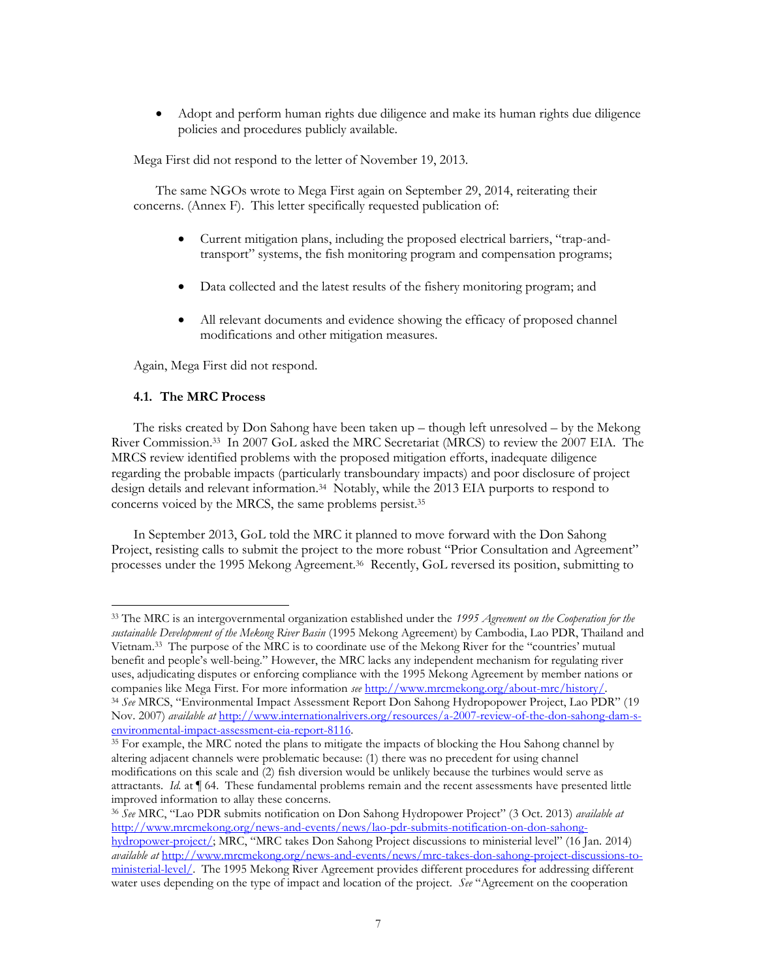Adopt and perform human rights due diligence and make its human rights due diligence policies and procedures publicly available.

Mega First did not respond to the letter of November 19, 2013.

The same NGOs wrote to Mega First again on September 29, 2014, reiterating their concerns. (Annex F). This letter specifically requested publication of:

- Current mitigation plans, including the proposed electrical barriers, "trap-andtransport" systems, the fish monitoring program and compensation programs;
- Data collected and the latest results of the fishery monitoring program; and
- All relevant documents and evidence showing the efficacy of proposed channel modifications and other mitigation measures.

Again, Mega First did not respond.

## **4.1. The MRC Process**

 $\overline{a}$ 

The risks created by Don Sahong have been taken  $up$  – though left unresolved – by the Mekong River Commission.<sup>33</sup> In 2007 GoL asked the MRC Secretariat (MRCS) to review the 2007 EIA. The MRCS review identified problems with the proposed mitigation efforts, inadequate diligence regarding the probable impacts (particularly transboundary impacts) and poor disclosure of project design details and relevant information.<sup>34</sup> Notably, while the 2013 EIA purports to respond to concerns voiced by the MRCS, the same problems persist.<sup>35</sup>

In September 2013, GoL told the MRC it planned to move forward with the Don Sahong Project, resisting calls to submit the project to the more robust "Prior Consultation and Agreement" processes under the 1995 Mekong Agreement.<sup>36</sup> Recently, GoL reversed its position, submitting to

<sup>33</sup> The MRC is an intergovernmental organization established under the *1995 Agreement on the Cooperation for the sustainable Development of the Mekong River Basin* (1995 Mekong Agreement) by Cambodia, Lao PDR, Thailand and Vietnam.<sup>33</sup> The purpose of the MRC is to coordinate use of the Mekong River for the "countries' mutual benefit and people's well-being." However, the MRC lacks any independent mechanism for regulating river uses, adjudicating disputes or enforcing compliance with the 1995 Mekong Agreement by member nations or companies like Mega First. For more information *see* [http://www.mrcmekong.org/about-mrc/history/.](http://www.mrcmekong.org/about-mrc/history/)

<sup>34</sup> *See* MRCS, "Environmental Impact Assessment Report Don Sahong Hydropopower Project, Lao PDR" (19 Nov. 2007) *available at* [http://www.internationalrivers.org/resources/a-2007-review-of-the-don-sahong-dam-s](http://www.internationalrivers.org/resources/a-2007-review-of-the-don-sahong-dam-s-environmental-impact-assessment-eia-report-8116)[environmental-impact-assessment-eia-report-8116.](http://www.internationalrivers.org/resources/a-2007-review-of-the-don-sahong-dam-s-environmental-impact-assessment-eia-report-8116) 

<sup>&</sup>lt;sup>35</sup> For example, the MRC noted the plans to mitigate the impacts of blocking the Hou Sahong channel by altering adjacent channels were problematic because: (1) there was no precedent for using channel modifications on this scale and (2) fish diversion would be unlikely because the turbines would serve as attractants. *Id.* at ¶ 64. These fundamental problems remain and the recent assessments have presented little improved information to allay these concerns.

<sup>36</sup> *See* MRC, "Lao PDR submits notification on Don Sahong Hydropower Project" (3 Oct. 2013) *available at* [http://www.mrcmekong.org/news-and-events/news/lao-pdr-submits-notification-on-don-sahong](http://www.mrcmekong.org/news-and-events/news/lao-pdr-submits-notification-on-don-sahong-hydropower-project/)[hydropower-project/](http://www.mrcmekong.org/news-and-events/news/lao-pdr-submits-notification-on-don-sahong-hydropower-project/); MRC, "MRC takes Don Sahong Project discussions to ministerial level" (16 Jan. 2014) *available at* [http://www.mrcmekong.org/news-and-events/news/mrc-takes-don-sahong-project-discussions-to](http://www.mrcmekong.org/news-and-events/news/mrc-takes-don-sahong-project-discussions-to-ministerial-level/)[ministerial-level/.](http://www.mrcmekong.org/news-and-events/news/mrc-takes-don-sahong-project-discussions-to-ministerial-level/) The 1995 Mekong River Agreement provides different procedures for addressing different water uses depending on the type of impact and location of the project. *See* "Agreement on the cooperation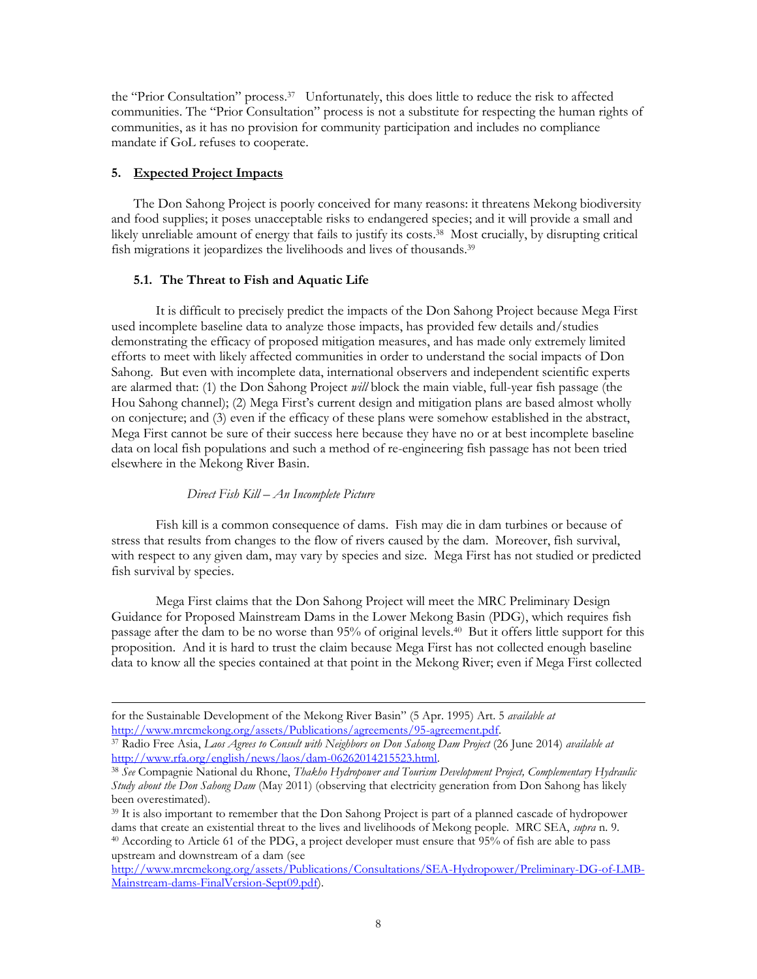the "Prior Consultation" process.<sup>37</sup> Unfortunately, this does little to reduce the risk to affected communities. The "Prior Consultation" process is not a substitute for respecting the human rights of communities, as it has no provision for community participation and includes no compliance mandate if GoL refuses to cooperate.

## **5. Expected Project Impacts**

 $\overline{a}$ 

The Don Sahong Project is poorly conceived for many reasons: it threatens Mekong biodiversity and food supplies; it poses unacceptable risks to endangered species; and it will provide a small and likely unreliable amount of energy that fails to justify its costs. 38 Most crucially, by disrupting critical fish migrations it jeopardizes the livelihoods and lives of thousands.<sup>39</sup>

#### **5.1. The Threat to Fish and Aquatic Life**

It is difficult to precisely predict the impacts of the Don Sahong Project because Mega First used incomplete baseline data to analyze those impacts, has provided few details and/studies demonstrating the efficacy of proposed mitigation measures, and has made only extremely limited efforts to meet with likely affected communities in order to understand the social impacts of Don Sahong. But even with incomplete data, international observers and independent scientific experts are alarmed that: (1) the Don Sahong Project *will* block the main viable, full-year fish passage (the Hou Sahong channel); (2) Mega First's current design and mitigation plans are based almost wholly on conjecture; and (3) even if the efficacy of these plans were somehow established in the abstract, Mega First cannot be sure of their success here because they have no or at best incomplete baseline data on local fish populations and such a method of re-engineering fish passage has not been tried elsewhere in the Mekong River Basin.

#### *Direct Fish Kill – An Incomplete Picture*

Fish kill is a common consequence of dams. Fish may die in dam turbines or because of stress that results from changes to the flow of rivers caused by the dam. Moreover, fish survival, with respect to any given dam, may vary by species and size. Mega First has not studied or predicted fish survival by species.

Mega First claims that the Don Sahong Project will meet the MRC Preliminary Design Guidance for Proposed Mainstream Dams in the Lower Mekong Basin (PDG), which requires fish passage after the dam to be no worse than 95% of original levels. 40 But it offers little support for this proposition. And it is hard to trust the claim because Mega First has not collected enough baseline data to know all the species contained at that point in the Mekong River; even if Mega First collected

for the Sustainable Development of the Mekong River Basin" (5 Apr. 1995) Art. 5 *available at* [http://www.mrcmekong.org/assets/Publications/agreements/95-agreement.pdf.](http://www.mrcmekong.org/assets/Publications/agreements/95-agreement.pdf)

<sup>37</sup> Radio Free Asia, *Laos Agrees to Consult with Neighbors on Don Sahong Dam Project* (26 June 2014) *available at*  [http://www.rfa.org/english/news/laos/dam-06262014215523.html.](http://www.rfa.org/english/news/laos/dam-06262014215523.html)

<sup>38</sup> *See* Compagnie National du Rhone, *Thakho Hydropower and Tourism Development Project, Complementary Hydraulic Study about the Don Sahong Dam* (May 2011) (observing that electricity generation from Don Sahong has likely been overestimated).

<sup>&</sup>lt;sup>39</sup> It is also important to remember that the Don Sahong Project is part of a planned cascade of hydropower dams that create an existential threat to the lives and livelihoods of Mekong people. MRC SEA, *supra* n. 9. <sup>40</sup> According to Article 61 of the PDG, a project developer must ensure that 95% of fish are able to pass upstream and downstream of a dam (see

[http://www.mrcmekong.org/assets/Publications/Consultations/SEA-Hydropower/Preliminary-DG-of-LMB-](http://www.mrcmekong.org/assets/Publications/Consultations/SEA-Hydropower/Preliminary-DG-of-LMB-Mainstream-dams-FinalVersion-Sept09.pdf)[Mainstream-dams-FinalVersion-Sept09.pdf\)](http://www.mrcmekong.org/assets/Publications/Consultations/SEA-Hydropower/Preliminary-DG-of-LMB-Mainstream-dams-FinalVersion-Sept09.pdf).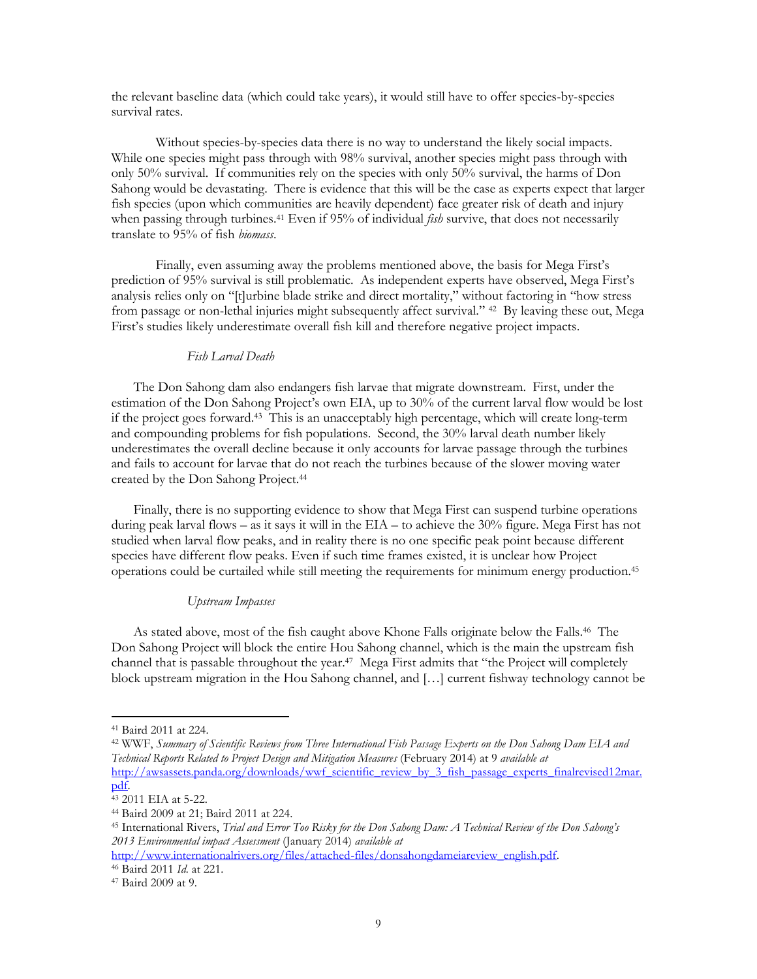the relevant baseline data (which could take years), it would still have to offer species-by-species survival rates.

Without species-by-species data there is no way to understand the likely social impacts. While one species might pass through with 98% survival, another species might pass through with only 50% survival. If communities rely on the species with only 50% survival, the harms of Don Sahong would be devastating. There is evidence that this will be the case as experts expect that larger fish species (upon which communities are heavily dependent) face greater risk of death and injury when passing through turbines.<sup>41</sup> Even if 95% of individual *fish* survive, that does not necessarily translate to 95% of fish *biomass*.

Finally, even assuming away the problems mentioned above, the basis for Mega First's prediction of 95% survival is still problematic. As independent experts have observed, Mega First's analysis relies only on "[t]urbine blade strike and direct mortality," without factoring in "how stress from passage or non-lethal injuries might subsequently affect survival." 42 By leaving these out, Mega First's studies likely underestimate overall fish kill and therefore negative project impacts.

#### *Fish Larval Death*

The Don Sahong dam also endangers fish larvae that migrate downstream. First, under the estimation of the Don Sahong Project's own EIA, up to 30% of the current larval flow would be lost if the project goes forward.<sup>43</sup> This is an unacceptably high percentage, which will create long-term and compounding problems for fish populations. Second, the 30% larval death number likely underestimates the overall decline because it only accounts for larvae passage through the turbines and fails to account for larvae that do not reach the turbines because of the slower moving water created by the Don Sahong Project.<sup>44</sup>

Finally, there is no supporting evidence to show that Mega First can suspend turbine operations during peak larval flows – as it says it will in the EIA – to achieve the 30% figure. Mega First has not studied when larval flow peaks, and in reality there is no one specific peak point because different species have different flow peaks. Even if such time frames existed, it is unclear how Project operations could be curtailed while still meeting the requirements for minimum energy production.<sup>45</sup>

## *Upstream Impasses*

As stated above, most of the fish caught above Khone Falls originate below the Falls.<sup>46</sup> The Don Sahong Project will block the entire Hou Sahong channel, which is the main the upstream fish channel that is passable throughout the year.<sup>47</sup> Mega First admits that "the Project will completely block upstream migration in the Hou Sahong channel, and […] current fishway technology cannot be

 $\overline{a}$ 

<sup>42</sup> WWF, *Summary of Scientific Reviews from Three International Fish Passage Experts on the Don Sahong Dam EIA and Technical Reports Related to Project Design and Mitigation Measures* (February 2014) at 9 *available at* [http://awsassets.panda.org/downloads/wwf\\_scientific\\_review\\_by\\_3\\_fish\\_passage\\_experts\\_finalrevised12mar.](http://awsassets.panda.org/downloads/wwf_scientific_review_by_3_fish_passage_experts_finalrevised12mar.pdf) [pdf.](http://awsassets.panda.org/downloads/wwf_scientific_review_by_3_fish_passage_experts_finalrevised12mar.pdf) 

<sup>41</sup> Baird 2011 at 224.

<sup>43</sup> 2011 EIA at 5-22.

<sup>44</sup> Baird 2009 at 21; Baird 2011 at 224.

<sup>45</sup> International Rivers, *Trial and Error Too Risky for the Don Sahong Dam: A Technical Review of the Don Sahong's 2013 Environmental impact Assessment* (January 2014) *available at*

[http://www.internationalrivers.org/files/attached-files/donsahongdameiareview\\_english.pdf.](http://www.internationalrivers.org/files/attached-files/donsahongdameiareview_english.pdf)  <sup>46</sup> Baird 2011 *Id.* at 221.

<sup>47</sup> Baird 2009 at 9.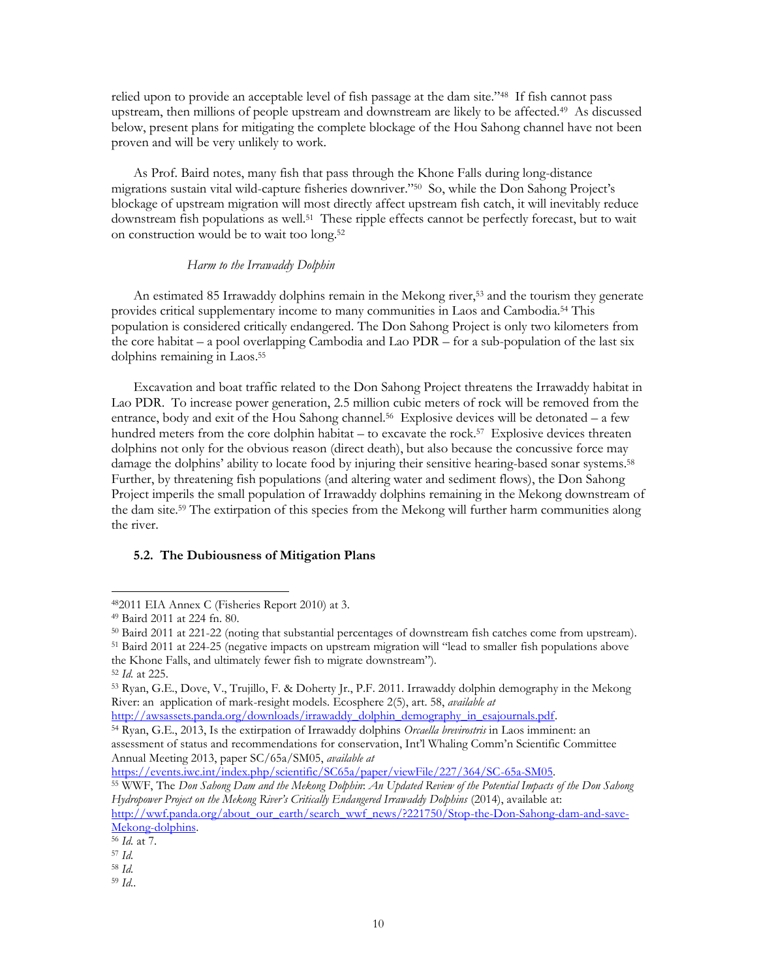relied upon to provide an acceptable level of fish passage at the dam site."<sup>48</sup> If fish cannot pass upstream, then millions of people upstream and downstream are likely to be affected.<sup>49</sup> As discussed below, present plans for mitigating the complete blockage of the Hou Sahong channel have not been proven and will be very unlikely to work.

As Prof. Baird notes, many fish that pass through the Khone Falls during long-distance migrations sustain vital wild-capture fisheries downriver."<sup>50</sup> So, while the Don Sahong Project's blockage of upstream migration will most directly affect upstream fish catch, it will inevitably reduce downstream fish populations as well. 51 These ripple effects cannot be perfectly forecast, but to wait on construction would be to wait too long. 52

## *Harm to the Irrawaddy Dolphin*

An estimated 85 Irrawaddy dolphins remain in the Mekong river,<sup>53</sup> and the tourism they generate provides critical supplementary income to many communities in Laos and Cambodia.<sup>54</sup> This population is considered critically endangered. The Don Sahong Project is only two kilometers from the core habitat – a pool overlapping Cambodia and Lao PDR – for a sub-population of the last six dolphins remaining in Laos. 55

Excavation and boat traffic related to the Don Sahong Project threatens the Irrawaddy habitat in Lao PDR. To increase power generation, 2.5 million cubic meters of rock will be removed from the entrance, body and exit of the Hou Sahong channel.<sup>56</sup> Explosive devices will be detonated - a few hundred meters from the core dolphin habitat – to excavate the rock. 57 Explosive devices threaten dolphins not only for the obvious reason (direct death), but also because the concussive force may damage the dolphins' ability to locate food by injuring their sensitive hearing-based sonar systems.<sup>58</sup> Further, by threatening fish populations (and altering water and sediment flows), the Don Sahong Project imperils the small population of Irrawaddy dolphins remaining in the Mekong downstream of the dam site. <sup>59</sup> The extirpation of this species from the Mekong will further harm communities along the river.

## **5.2. The Dubiousness of Mitigation Plans**

the Khone Falls, and ultimately fewer fish to migrate downstream").

 $\overline{a}$ 

[http://awsassets.panda.org/downloads/irrawaddy\\_dolphin\\_demography\\_in\\_esajournals.pdf.](http://awsassets.panda.org/downloads/irrawaddy_dolphin_demography_in_esajournals.pdf)

<sup>54</sup> Ryan, G.E., 2013, Is the extirpation of Irrawaddy dolphins *Orcaella brevirostris* in Laos imminent: an assessment of status and recommendations for conservation, Int'l Whaling Comm'n Scientific Committee Annual Meeting 2013, paper SC/65a/SM05, *available at*

[https://events.iwc.int/index.php/scientific/SC65a/paper/viewFile/227/364/SC-65a-SM05.](https://events.iwc.int/index.php/scientific/SC65a/paper/viewFile/227/364/SC-65a-SM05)

[http://wwf.panda.org/about\\_our\\_earth/search\\_wwf\\_news/?221750/Stop-the-Don-Sahong-dam-and-save-](http://wwf.panda.org/about_our_earth/search_wwf_news/?221750/Stop-the-Don-Sahong-dam-and-save-Mekong-dolphins)Mekong-dolphins.

<sup>58</sup> *Id.*

<sup>48</sup>2011 EIA Annex C (Fisheries Report 2010) at 3.

<sup>49</sup> Baird 2011 at 224 fn. 80.

<sup>50</sup> Baird 2011 at 221-22 (noting that substantial percentages of downstream fish catches come from upstream).

<sup>51</sup> Baird 2011 at 224-25 (negative impacts on upstream migration will "lead to smaller fish populations above

<sup>52</sup> *Id.* at 225.

<sup>53</sup> Ryan, G.E., Dove, V., Trujillo, F. & Doherty Jr., P.F. 2011. Irrawaddy dolphin demography in the Mekong River: an application of mark-resight models. Ecosphere 2(5), art. 58, *available at*

<sup>55</sup> WWF, The *Don Sahong Dam and the Mekong Dolphin*: *An Updated Review of the Potential Impacts of the Don Sahong Hydropower Project on the Mekong River's Critically Endangered Irrawaddy Dolphins* (2014), available at:

<sup>56</sup> *Id.* at 7.

<sup>57</sup> *Id.*

<sup>59</sup> *Id..*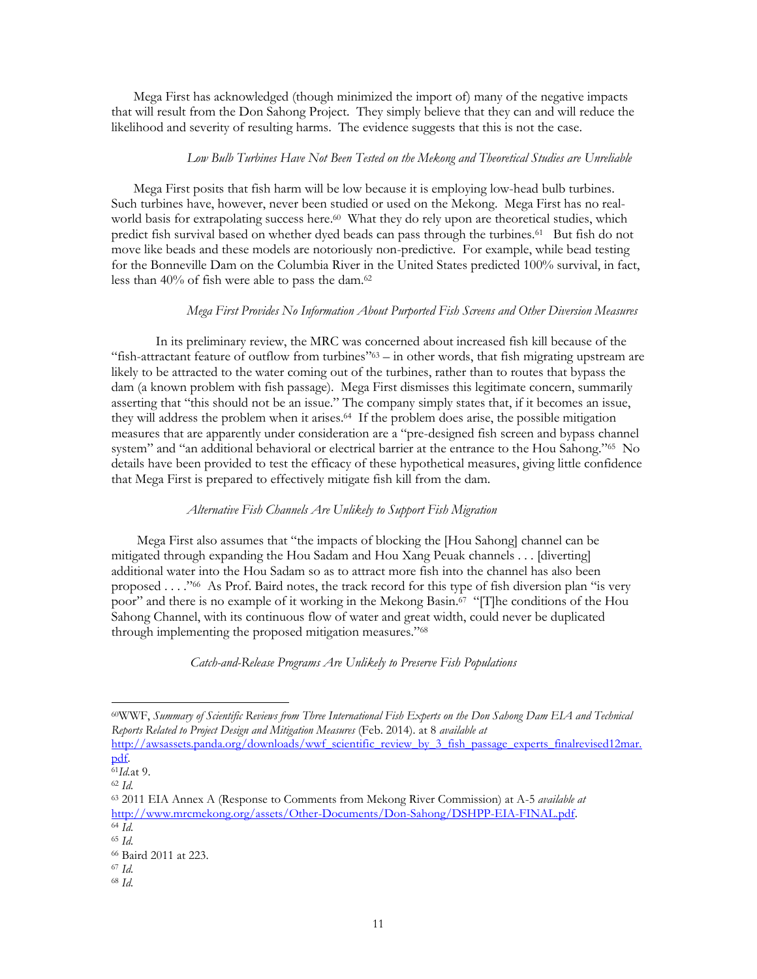Mega First has acknowledged (though minimized the import of) many of the negative impacts that will result from the Don Sahong Project. They simply believe that they can and will reduce the likelihood and severity of resulting harms. The evidence suggests that this is not the case.

## *Low Bulb Turbines Have Not Been Tested on the Mekong and Theoretical Studies are Unreliable*

Mega First posits that fish harm will be low because it is employing low-head bulb turbines. Such turbines have, however, never been studied or used on the Mekong. Mega First has no realworld basis for extrapolating success here. 60 What they do rely upon are theoretical studies, which predict fish survival based on whether dyed beads can pass through the turbines.<sup>61</sup> But fish do not move like beads and these models are notoriously non-predictive. For example, while bead testing for the Bonneville Dam on the Columbia River in the United States predicted 100% survival, in fact, less than 40% of fish were able to pass the dam. 62

## *Mega First Provides No Information About Purported Fish Screens and Other Diversion Measures*

In its preliminary review, the MRC was concerned about increased fish kill because of the "fish-attractant feature of outflow from turbines" <sup>63</sup> – in other words, that fish migrating upstream are likely to be attracted to the water coming out of the turbines, rather than to routes that bypass the dam (a known problem with fish passage). Mega First dismisses this legitimate concern, summarily asserting that "this should not be an issue." The company simply states that, if it becomes an issue, they will address the problem when it arises.<sup>64</sup> If the problem does arise, the possible mitigation measures that are apparently under consideration are a "pre-designed fish screen and bypass channel system" and "an additional behavioral or electrical barrier at the entrance to the Hou Sahong."<sup>65</sup> No details have been provided to test the efficacy of these hypothetical measures, giving little confidence that Mega First is prepared to effectively mitigate fish kill from the dam.

## *Alternative Fish Channels Are Unlikely to Support Fish Migration*

Mega First also assumes that "the impacts of blocking the [Hou Sahong] channel can be mitigated through expanding the Hou Sadam and Hou Xang Peuak channels . . . [diverting] additional water into the Hou Sadam so as to attract more fish into the channel has also been proposed . . . ."<sup>66</sup> As Prof. Baird notes, the track record for this type of fish diversion plan "is very poor" and there is no example of it working in the Mekong Basin.<sup>67</sup> "[T]he conditions of the Hou Sahong Channel, with its continuous flow of water and great width, could never be duplicated through implementing the proposed mitigation measures." 68

*Catch-and-Release Programs Are Unlikely to Preserve Fish Populations*

 $\overline{a}$ 

<sup>68</sup> *Id.*

<sup>60</sup>WWF, *Summary of Scientific Reviews from Three International Fish Experts on the Don Sahong Dam EIA and Technical Reports Related to Project Design and Mitigation Measures* (Feb. 2014)*.* at 8 *available at* 

[http://awsassets.panda.org/downloads/wwf\\_scientific\\_review\\_by\\_3\\_fish\\_passage\\_experts\\_finalrevised12mar.](http://awsassets.panda.org/downloads/wwf_scientific_review_by_3_fish_passage_experts_finalrevised12mar.pdf) [pdf.](http://awsassets.panda.org/downloads/wwf_scientific_review_by_3_fish_passage_experts_finalrevised12mar.pdf)

<sup>61</sup>*Id.*at 9. <sup>62</sup> *Id.*

<sup>63</sup> 2011 EIA Annex A (Response to Comments from Mekong River Commission) at A-5 *available at*  [http://www.mrcmekong.org/assets/Other-Documents/Don-Sahong/DSHPP-EIA-FINAL.pdf.](http://www.mrcmekong.org/assets/Other-Documents/Don-Sahong/DSHPP-EIA-FINAL.pdf)

<sup>64</sup> *Id.*

<sup>65</sup> *Id.*

<sup>66</sup> Baird 2011 at 223.

<sup>67</sup> *Id.*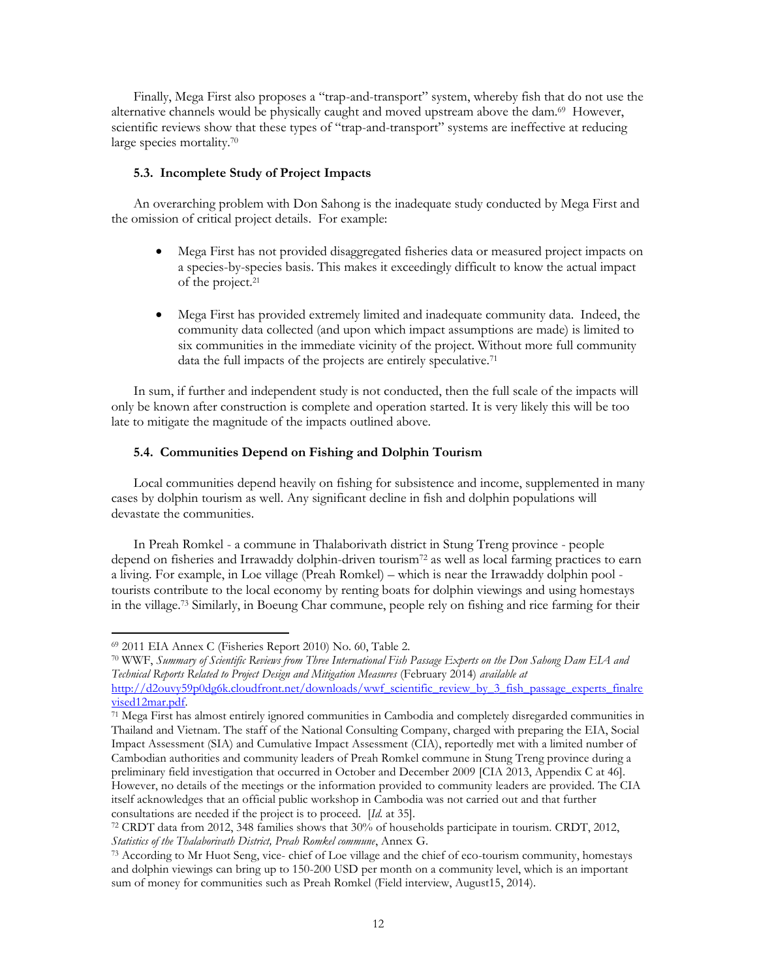Finally, Mega First also proposes a "trap-and-transport" system, whereby fish that do not use the alternative channels would be physically caught and moved upstream above the dam.<sup>69</sup> However, scientific reviews show that these types of "trap-and-transport" systems are ineffective at reducing large species mortality.<sup>70</sup>

## **5.3. Incomplete Study of Project Impacts**

An overarching problem with Don Sahong is the inadequate study conducted by Mega First and the omission of critical project details. For example:

- Mega First has not provided disaggregated fisheries data or measured project impacts on a species-by-species basis. This makes it exceedingly difficult to know the actual impact of the project.<sup>21</sup>
- Mega First has provided extremely limited and inadequate community data. Indeed, the community data collected (and upon which impact assumptions are made) is limited to six communities in the immediate vicinity of the project. Without more full community data the full impacts of the projects are entirely speculative.<sup>71</sup>

In sum, if further and independent study is not conducted, then the full scale of the impacts will only be known after construction is complete and operation started. It is very likely this will be too late to mitigate the magnitude of the impacts outlined above.

#### **5.4. Communities Depend on Fishing and Dolphin Tourism**

Local communities depend heavily on fishing for subsistence and income, supplemented in many cases by dolphin tourism as well. Any significant decline in fish and dolphin populations will devastate the communities.

In Preah Romkel - a commune in Thalaborivath district in Stung Treng province - people depend on fisheries and Irrawaddy dolphin-driven tourism<sup>72</sup> as well as local farming practices to earn a living. For example, in Loe village (Preah Romkel) – which is near the Irrawaddy dolphin pool tourists contribute to the local economy by renting boats for dolphin viewings and using homestays in the village.<sup>73</sup> Similarly, in Boeung Char commune, people rely on fishing and rice farming for their

 $\overline{a}$ 

<sup>70</sup> WWF, *Summary of Scientific Reviews from Three International Fish Passage Experts on the Don Sahong Dam EIA and Technical Reports Related to Project Design and Mitigation Measures* (February 2014) *available at*

<sup>69</sup> 2011 EIA Annex C (Fisheries Report 2010) No. 60, Table 2.

[http://d2ouvy59p0dg6k.cloudfront.net/downloads/wwf\\_scientific\\_review\\_by\\_3\\_fish\\_passage\\_experts\\_finalre](http://d2ouvy59p0dg6k.cloudfront.net/downloads/wwf_scientific_review_by_3_fish_passage_experts_finalrevised12mar.pdf) [vised12mar.pdf.](http://d2ouvy59p0dg6k.cloudfront.net/downloads/wwf_scientific_review_by_3_fish_passage_experts_finalrevised12mar.pdf) 

<sup>71</sup> Mega First has almost entirely ignored communities in Cambodia and completely disregarded communities in Thailand and Vietnam. The staff of the National Consulting Company, charged with preparing the EIA, Social Impact Assessment (SIA) and Cumulative Impact Assessment (CIA), reportedly met with a limited number of Cambodian authorities and community leaders of Preah Romkel commune in Stung Treng province during a preliminary field investigation that occurred in October and December 2009 [CIA 2013, Appendix C at 46]. However, no details of the meetings or the information provided to community leaders are provided. The CIA itself acknowledges that an official public workshop in Cambodia was not carried out and that further consultations are needed if the project is to proceed. [*Id.* at 35].

<sup>72</sup> CRDT data from 2012, 348 families shows that 30% of households participate in tourism. CRDT, 2012, *Statistics of the Thalaborivath District, Preah Romkel commune*, Annex G.

<sup>73</sup> According to Mr Huot Seng, vice- chief of Loe village and the chief of eco-tourism community, homestays and dolphin viewings can bring up to 150-200 USD per month on a community level, which is an important sum of money for communities such as Preah Romkel (Field interview, August15, 2014).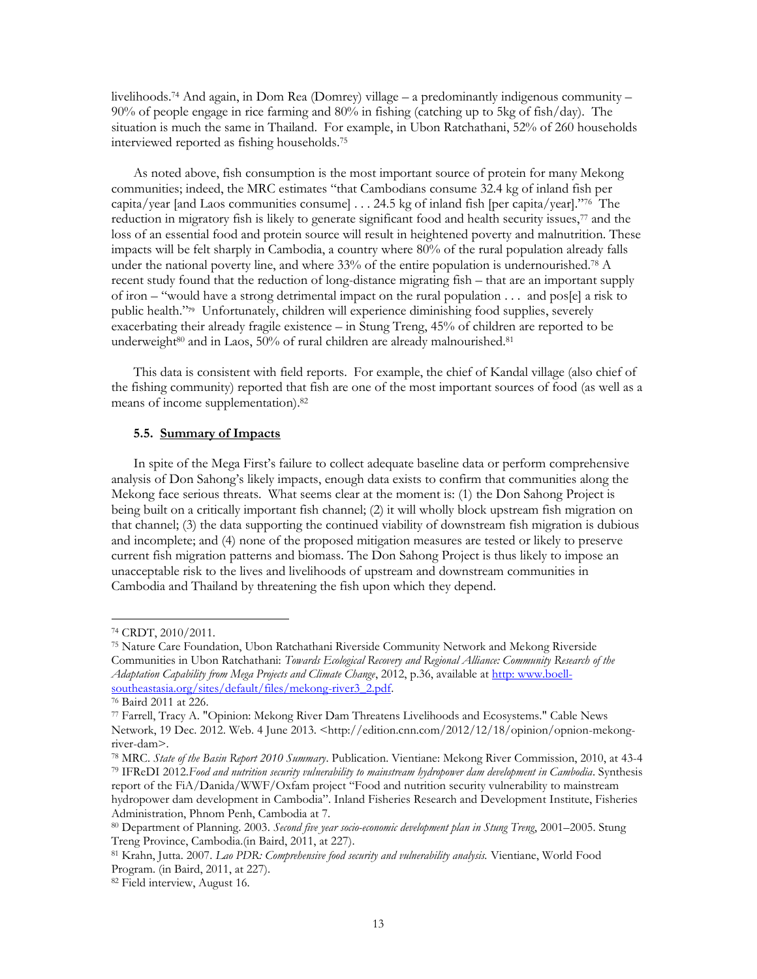livelihoods.<sup>74</sup> And again, in Dom Rea (Domrey) village – a predominantly indigenous community – 90% of people engage in rice farming and 80% in fishing (catching up to 5kg of fish/day). The situation is much the same in Thailand. For example, in Ubon Ratchathani, 52% of 260 households interviewed reported as fishing households. 75

As noted above, fish consumption is the most important source of protein for many Mekong communities; indeed, the MRC estimates "that Cambodians consume 32.4 kg of inland fish per capita/year [and Laos communities consume] . . . 24.5 kg of inland fish [per capita/year]."<sup>76</sup> The reduction in migratory fish is likely to generate significant food and health security issues,<sup>77</sup> and the loss of an essential food and protein source will result in heightened poverty and malnutrition. These impacts will be felt sharply in Cambodia, a country where 80% of the rural population already falls under the national poverty line, and where  $33\%$  of the entire population is undernourished.<sup>78</sup> A recent study found that the reduction of long-distance migrating fish – that are an important supply of iron – "would have a strong detrimental impact on the rural population . . . and pos[e] a risk to public health."79 Unfortunately, children will experience diminishing food supplies, severely exacerbating their already fragile existence – in Stung Treng, 45% of children are reported to be underweight<sup>80</sup> and in Laos, 50% of rural children are already malnourished.<sup>81</sup>

This data is consistent with field reports. For example, the chief of Kandal village (also chief of the fishing community) reported that fish are one of the most important sources of food (as well as a means of income supplementation). 82

#### **5.5. Summary of Impacts**

In spite of the Mega First's failure to collect adequate baseline data or perform comprehensive analysis of Don Sahong's likely impacts, enough data exists to confirm that communities along the Mekong face serious threats. What seems clear at the moment is: (1) the Don Sahong Project is being built on a critically important fish channel; (2) it will wholly block upstream fish migration on that channel; (3) the data supporting the continued viability of downstream fish migration is dubious and incomplete; and (4) none of the proposed mitigation measures are tested or likely to preserve current fish migration patterns and biomass. The Don Sahong Project is thus likely to impose an unacceptable risk to the lives and livelihoods of upstream and downstream communities in Cambodia and Thailand by threatening the fish upon which they depend.

<sup>74</sup> CRDT, 2010/2011.

<sup>75</sup> Nature Care Foundation, Ubon Ratchathani Riverside Community Network and Mekong Riverside Communities in Ubon Ratchathani: *Towards Ecological Recovery and Regional Alliance: Community Research of the Adaptation Capability from Mega Projects and Climate Change*, 2012, p.36, available at http: [www.boell](http://http:%20www.boell-southeastasia.org/sites/default/files/mekong-river3_2.pdf)[southeastasia.org/sites/default/files/mekong-river3\\_2.pdf.](http://http:%20www.boell-southeastasia.org/sites/default/files/mekong-river3_2.pdf) 

<sup>76</sup> Baird 2011 at 226.

<sup>77</sup> Farrell, Tracy A. "Opinion: Mekong River Dam Threatens Livelihoods and Ecosystems." Cable News Network, 19 Dec. 2012. Web. 4 June 2013. <http://edition.cnn.com/2012/12/18/opinion/opnion-mekongriver-dam>.

<sup>78</sup> MRC. *State of the Basin Report 2010 Summary*. Publication. Vientiane: Mekong River Commission, 2010, at 43-4

<sup>79</sup> IFReDI 2012.*Food and nutrition security vulnerability to mainstream hydropower dam development in Cambodia*. Synthesis report of the FiA/Danida/WWF/Oxfam project "Food and nutrition security vulnerability to mainstream

hydropower dam development in Cambodia". Inland Fisheries Research and Development Institute, Fisheries Administration, Phnom Penh, Cambodia at 7.

<sup>80</sup> Department of Planning. 2003. *Second five year socio-economic development plan in Stung Treng*, 2001–2005. Stung Treng Province, Cambodia.(in Baird, 2011, at 227).

<sup>81</sup> Krahn, Jutta. 2007. *Lao PDR: Comprehensive food security and vulnerability analysis.* Vientiane, World Food Program. (in Baird, 2011, at 227).

<sup>82</sup> Field interview, August 16.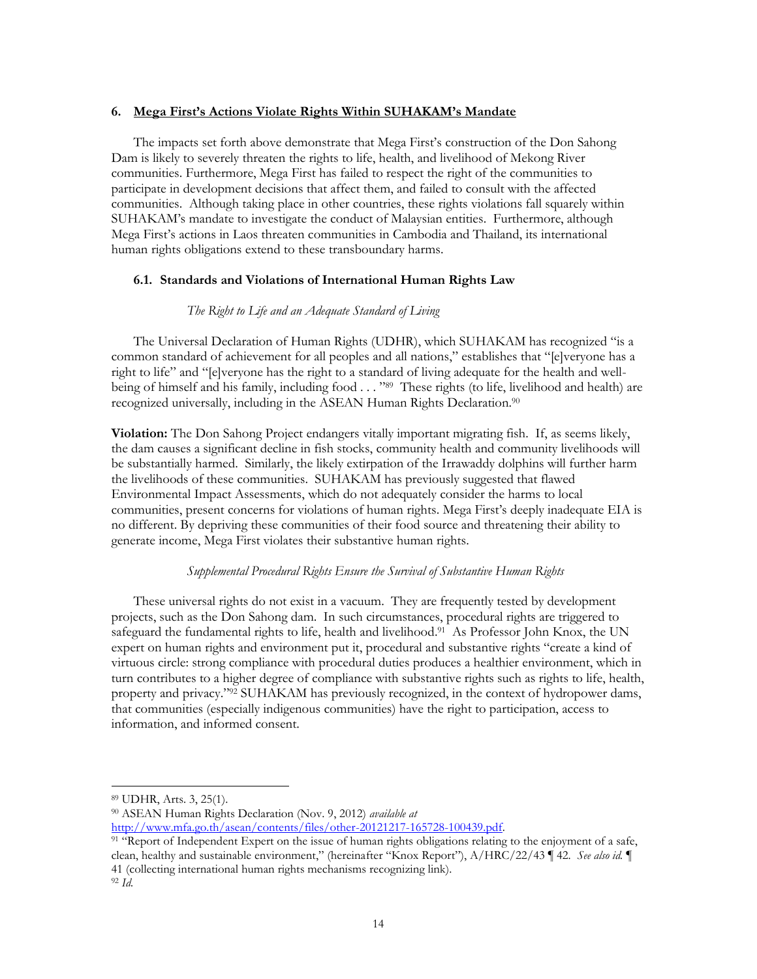## **6. Mega First's Actions Violate Rights Within SUHAKAM's Mandate**

The impacts set forth above demonstrate that Mega First's construction of the Don Sahong Dam is likely to severely threaten the rights to life, health, and livelihood of Mekong River communities. Furthermore, Mega First has failed to respect the right of the communities to participate in development decisions that affect them, and failed to consult with the affected communities. Although taking place in other countries, these rights violations fall squarely within SUHAKAM's mandate to investigate the conduct of Malaysian entities. Furthermore, although Mega First's actions in Laos threaten communities in Cambodia and Thailand, its international human rights obligations extend to these transboundary harms.

## **6.1. Standards and Violations of International Human Rights Law**

#### *The Right to Life and an Adequate Standard of Living*

The Universal Declaration of Human Rights (UDHR), which SUHAKAM has recognized "is a common standard of achievement for all peoples and all nations," establishes that "[e]veryone has a right to life" and "[e]veryone has the right to a standard of living adequate for the health and wellbeing of himself and his family, including food . . . "<sup>89</sup> These rights (to life, livelihood and health) are recognized universally, including in the ASEAN Human Rights Declaration.<sup>90</sup>

**Violation:** The Don Sahong Project endangers vitally important migrating fish. If, as seems likely, the dam causes a significant decline in fish stocks, community health and community livelihoods will be substantially harmed. Similarly, the likely extirpation of the Irrawaddy dolphins will further harm the livelihoods of these communities. SUHAKAM has previously suggested that flawed Environmental Impact Assessments, which do not adequately consider the harms to local communities, present concerns for violations of human rights. Mega First's deeply inadequate EIA is no different. By depriving these communities of their food source and threatening their ability to generate income, Mega First violates their substantive human rights.

## *Supplemental Procedural Rights Ensure the Survival of Substantive Human Rights*

These universal rights do not exist in a vacuum. They are frequently tested by development projects, such as the Don Sahong dam. In such circumstances, procedural rights are triggered to safeguard the fundamental rights to life, health and livelihood.<sup>91</sup> As Professor John Knox, the UN expert on human rights and environment put it, procedural and substantive rights "create a kind of virtuous circle: strong compliance with procedural duties produces a healthier environment, which in turn contributes to a higher degree of compliance with substantive rights such as rights to life, health, property and privacy."<sup>92</sup> SUHAKAM has previously recognized, in the context of hydropower dams, that communities (especially indigenous communities) have the right to participation, access to information, and informed consent.

[http://www.mfa.go.th/asean/contents/files/other-20121217-165728-100439.pdf.](http://www.mfa.go.th/asean/contents/files/other-20121217-165728-100439.pdf)

<sup>89</sup> UDHR, Arts. 3, 25(1).

<sup>90</sup> ASEAN Human Rights Declaration (Nov. 9, 2012) *available at* 

<sup>&</sup>lt;sup>91</sup> "Report of Independent Expert on the issue of human rights obligations relating to the enjoyment of a safe, clean, healthy and sustainable environment," (hereinafter "Knox Report"), A/HRC/22/43 ¶ 42. *See also id.* ¶ 41 (collecting international human rights mechanisms recognizing link). <sup>92</sup> *Id.*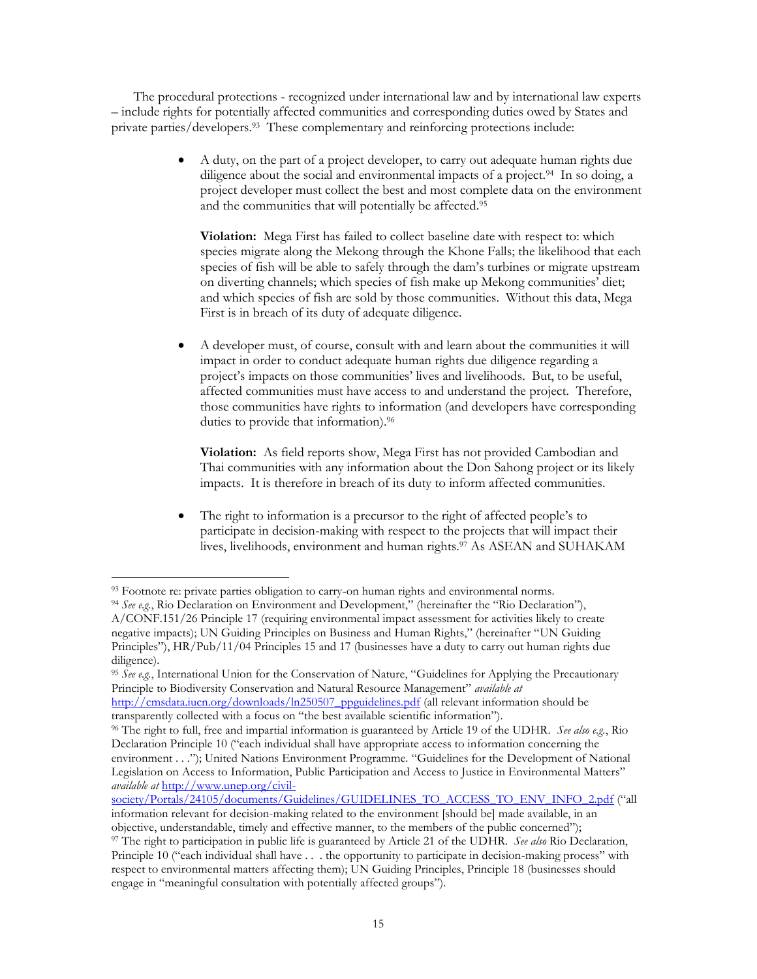The procedural protections - recognized under international law and by international law experts – include rights for potentially affected communities and corresponding duties owed by States and private parties/developers.<sup>93</sup> These complementary and reinforcing protections include:

> A duty, on the part of a project developer, to carry out adequate human rights due diligence about the social and environmental impacts of a project.<sup>94</sup> In so doing, a project developer must collect the best and most complete data on the environment and the communities that will potentially be affected.<sup>95</sup>

**Violation:** Mega First has failed to collect baseline date with respect to: which species migrate along the Mekong through the Khone Falls; the likelihood that each species of fish will be able to safely through the dam's turbines or migrate upstream on diverting channels; which species of fish make up Mekong communities' diet; and which species of fish are sold by those communities. Without this data, Mega First is in breach of its duty of adequate diligence.

 A developer must, of course, consult with and learn about the communities it will impact in order to conduct adequate human rights due diligence regarding a project's impacts on those communities' lives and livelihoods. But, to be useful, affected communities must have access to and understand the project. Therefore, those communities have rights to information (and developers have corresponding duties to provide that information).<sup>96</sup>

**Violation:** As field reports show, Mega First has not provided Cambodian and Thai communities with any information about the Don Sahong project or its likely impacts. It is therefore in breach of its duty to inform affected communities.

 The right to information is a precursor to the right of affected people's to participate in decision-making with respect to the projects that will impact their lives, livelihoods, environment and human rights.<sup>97</sup> As ASEAN and SUHAKAM

<sup>93</sup> Footnote re: private parties obligation to carry-on human rights and environmental norms.

<sup>94</sup> *See e.g.*, Rio Declaration on Environment and Development," (hereinafter the "Rio Declaration"), A/CONF.151/26 Principle 17 (requiring environmental impact assessment for activities likely to create negative impacts); UN Guiding Principles on Business and Human Rights," (hereinafter "UN Guiding Principles"), HR/Pub/11/04 Principles 15 and 17 (businesses have a duty to carry out human rights due diligence).

<sup>95</sup> *See e.g.*, International Union for the Conservation of Nature, "Guidelines for Applying the Precautionary Principle to Biodiversity Conservation and Natural Resource Management" *available at*  [http://cmsdata.iucn.org/downloads/ln250507\\_ppguidelines.pdf](http://cmsdata.iucn.org/downloads/ln250507_ppguidelines.pdf) (all relevant information should be

transparently collected with a focus on "the best available scientific information").

<sup>96</sup> The right to full, free and impartial information is guaranteed by Article 19 of the UDHR. *See also e.g.*, Rio Declaration Principle 10 ("each individual shall have appropriate access to information concerning the environment . . ."); United Nations Environment Programme. "Guidelines for the Development of National Legislation on Access to Information, Public Participation and Access to Justice in Environmental Matters" *available at* [http://www.unep.org/civil-](http://www.unep.org/civil-society/Portals/24105/documents/Guidelines/GUIDELINES_TO_ACCESS_TO_ENV_INFO_2.pdf)

[society/Portals/24105/documents/Guidelines/GUIDELINES\\_TO\\_ACCESS\\_TO\\_ENV\\_INFO\\_2.pdf](http://www.unep.org/civil-society/Portals/24105/documents/Guidelines/GUIDELINES_TO_ACCESS_TO_ENV_INFO_2.pdf) ("all information relevant for decision-making related to the environment [should be] made available, in an

objective, understandable, timely and effective manner, to the members of the public concerned"); <sup>97</sup> The right to participation in public life is guaranteed by Article 21 of the UDHR. *See also* Rio Declaration, Principle 10 ("each individual shall have . . . the opportunity to participate in decision-making process" with respect to environmental matters affecting them); UN Guiding Principles, Principle 18 (businesses should engage in "meaningful consultation with potentially affected groups").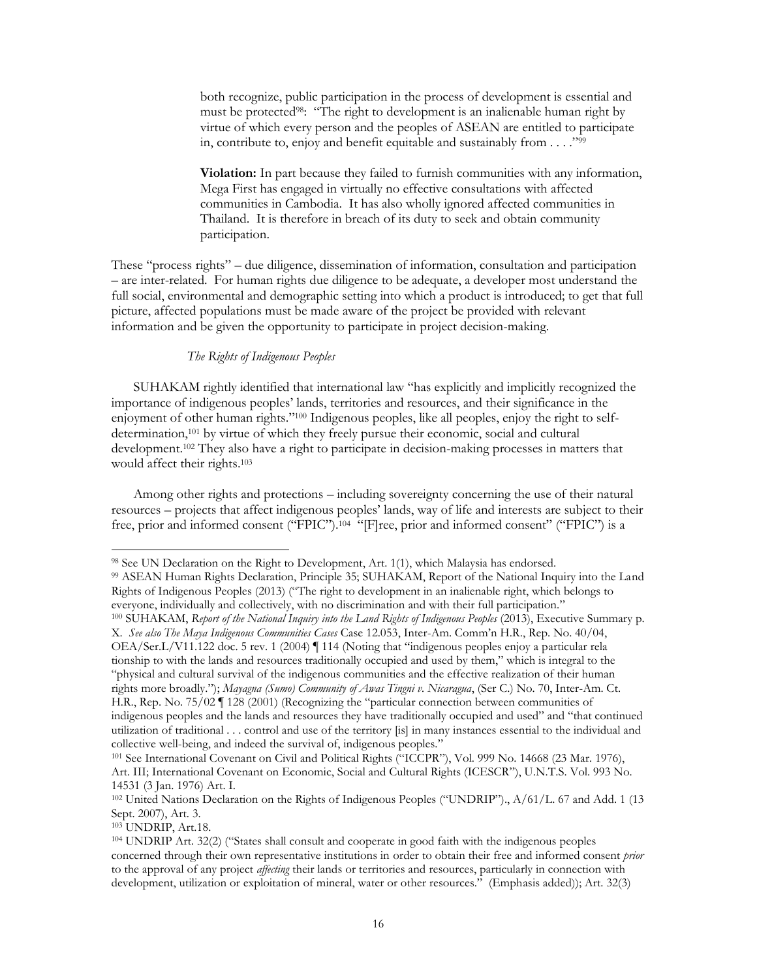both recognize, public participation in the process of development is essential and must be protected<sup>98</sup>: "The right to development is an inalienable human right by virtue of which every person and the peoples of ASEAN are entitled to participate in, contribute to, enjoy and benefit equitable and sustainably from . . . ."<sup>99</sup>

**Violation:** In part because they failed to furnish communities with any information, Mega First has engaged in virtually no effective consultations with affected communities in Cambodia. It has also wholly ignored affected communities in Thailand. It is therefore in breach of its duty to seek and obtain community participation.

These "process rights" – due diligence, dissemination of information, consultation and participation – are inter-related. For human rights due diligence to be adequate, a developer most understand the full social, environmental and demographic setting into which a product is introduced; to get that full picture, affected populations must be made aware of the project be provided with relevant information and be given the opportunity to participate in project decision-making.

## *The Rights of Indigenous Peoples*

SUHAKAM rightly identified that international law "has explicitly and implicitly recognized the importance of indigenous peoples' lands, territories and resources, and their significance in the enjoyment of other human rights."<sup>100</sup> Indigenous peoples, like all peoples, enjoy the right to selfdetermination,<sup>101</sup> by virtue of which they freely pursue their economic, social and cultural development.<sup>102</sup> They also have a right to participate in decision-making processes in matters that would affect their rights.<sup>103</sup>

Among other rights and protections – including sovereignty concerning the use of their natural resources – projects that affect indigenous peoples' lands, way of life and interests are subject to their free, prior and informed consent ("FPIC").<sup>104</sup> "[F]ree, prior and informed consent" ("FPIC") is a

OEA/Ser.L/V11.122 doc. 5 rev. 1 (2004) ¶ 114 (Noting that "indigenous peoples enjoy a particular rela tionship to with the lands and resources traditionally occupied and used by them," which is integral to the "physical and cultural survival of the indigenous communities and the effective realization of their human rights more broadly."); *Mayagna (Sumo) Community of Awas Tingni v. Nicaragua*, (Ser C.) No. 70, Inter-Am. Ct. H.R., Rep. No. 75/02 ¶ 128 (2001) (Recognizing the "particular connection between communities of indigenous peoples and the lands and resources they have traditionally occupied and used" and "that continued utilization of traditional . . . control and use of the territory [is] in many instances essential to the individual and

<sup>103</sup> UNDRIP, Art.18.

<sup>98</sup> See UN Declaration on the Right to Development, Art. 1(1), which Malaysia has endorsed.

<sup>99</sup> ASEAN Human Rights Declaration, Principle 35; SUHAKAM, Report of the National Inquiry into the Land Rights of Indigenous Peoples (2013) ("The right to development in an inalienable right, which belongs to everyone, individually and collectively, with no discrimination and with their full participation."

<sup>100</sup> SUHAKAM, *Report of the National Inquiry into the Land Rights of Indigenous Peoples* (2013), Executive Summary p. X. *See also The Maya Indigenous Communities Cases* Case 12.053, Inter-Am. Comm'n H.R., Rep. No. 40/04,

collective well-being, and indeed the survival of, indigenous peoples."

<sup>101</sup> See International Covenant on Civil and Political Rights ("ICCPR"), Vol. 999 No. 14668 (23 Mar. 1976), Art. III; International Covenant on Economic, Social and Cultural Rights (ICESCR"), U.N.T.S. Vol. 993 No. 14531 (3 Jan. 1976) Art. I.

<sup>102</sup> United Nations Declaration on the Rights of Indigenous Peoples ("UNDRIP")., A/61/L. 67 and Add. 1 (13 Sept. 2007), Art. 3.

<sup>104</sup> UNDRIP Art. 32(2) ("States shall consult and cooperate in good faith with the indigenous peoples concerned through their own representative institutions in order to obtain their free and informed consent *prior*  to the approval of any project *affecting* their lands or territories and resources, particularly in connection with development, utilization or exploitation of mineral, water or other resources." (Emphasis added)); Art. 32(3)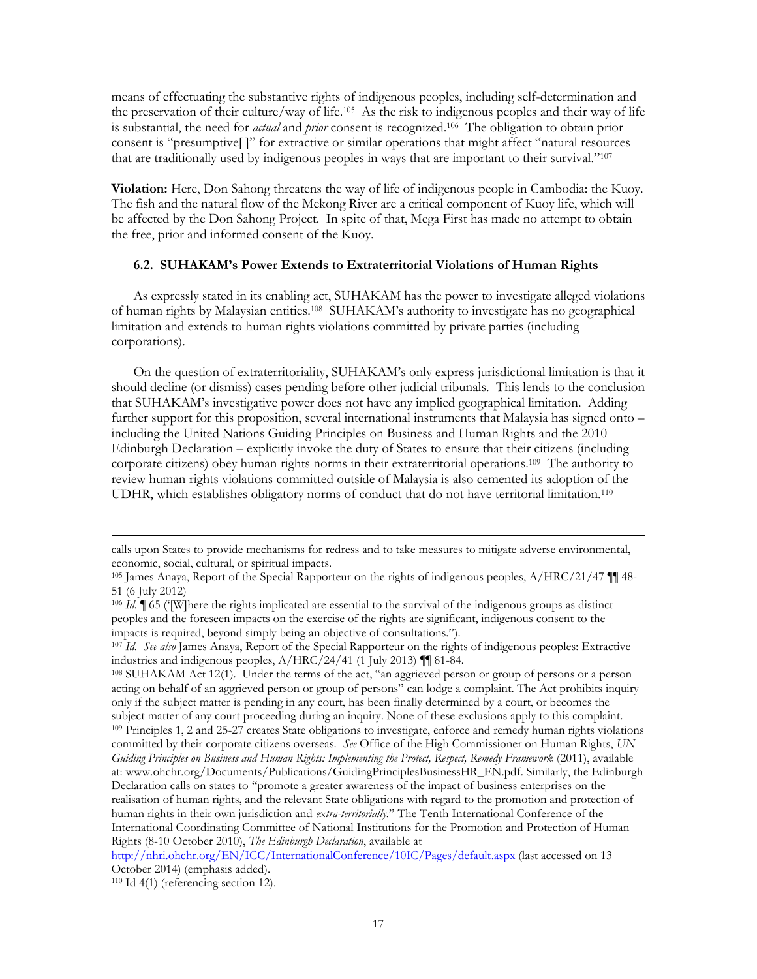means of effectuating the substantive rights of indigenous peoples, including self-determination and the preservation of their culture/way of life.<sup>105</sup> As the risk to indigenous peoples and their way of life is substantial, the need for *actual* and *prior* consent is recognized.<sup>106</sup> The obligation to obtain prior consent is "presumptive[ ]" for extractive or similar operations that might affect "natural resources that are traditionally used by indigenous peoples in ways that are important to their survival."<sup>107</sup>

**Violation:** Here, Don Sahong threatens the way of life of indigenous people in Cambodia: the Kuoy. The fish and the natural flow of the Mekong River are a critical component of Kuoy life, which will be affected by the Don Sahong Project. In spite of that, Mega First has made no attempt to obtain the free, prior and informed consent of the Kuoy.

## **6.2. SUHAKAM's Power Extends to Extraterritorial Violations of Human Rights**

As expressly stated in its enabling act, SUHAKAM has the power to investigate alleged violations of human rights by Malaysian entities.<sup>108</sup> SUHAKAM's authority to investigate has no geographical limitation and extends to human rights violations committed by private parties (including corporations).

On the question of extraterritoriality, SUHAKAM's only express jurisdictional limitation is that it should decline (or dismiss) cases pending before other judicial tribunals. This lends to the conclusion that SUHAKAM's investigative power does not have any implied geographical limitation. Adding further support for this proposition, several international instruments that Malaysia has signed onto – including the United Nations Guiding Principles on Business and Human Rights and the 2010 Edinburgh Declaration – explicitly invoke the duty of States to ensure that their citizens (including corporate citizens) obey human rights norms in their extraterritorial operations.<sup>109</sup> The authority to review human rights violations committed outside of Malaysia is also cemented its adoption of the UDHR, which establishes obligatory norms of conduct that do not have territorial limitation.<sup>110</sup>

calls upon States to provide mechanisms for redress and to take measures to mitigate adverse environmental, economic, social, cultural, or spiritual impacts.

<sup>105</sup> James Anaya, Report of the Special Rapporteur on the rights of indigenous peoples, A/HRC/21/47 ¶¶ 48- 51 (6 July 2012)

<sup>&</sup>lt;sup>106</sup> *Id.*  $\parallel$  65 ('[W]here the rights implicated are essential to the survival of the indigenous groups as distinct peoples and the foreseen impacts on the exercise of the rights are significant, indigenous consent to the impacts is required, beyond simply being an objective of consultations.").

<sup>107</sup> *Id. See also* James Anaya, Report of the Special Rapporteur on the rights of indigenous peoples: Extractive industries and indigenous peoples, A/HRC/24/41 (1 July 2013) ¶¶ 81-84.

<sup>108</sup> SUHAKAM Act 12(1). Under the terms of the act, "an aggrieved person or group of persons or a person acting on behalf of an aggrieved person or group of persons" can lodge a complaint. The Act prohibits inquiry only if the subject matter is pending in any court, has been finally determined by a court, or becomes the subject matter of any court proceeding during an inquiry. None of these exclusions apply to this complaint. <sup>109</sup> Principles 1, 2 and 25-27 creates State obligations to investigate, enforce and remedy human rights violations committed by their corporate citizens overseas. *See* Office of the High Commissioner on Human Rights, *UN Guiding Principles on Business and Human Rights: Implementing the Protect, Respect, Remedy Framework* (2011), available at: www.ohchr.org/Documents/Publications/GuidingPrinciplesBusinessHR\_EN.pdf. Similarly, the Edinburgh Declaration calls on states to "promote a greater awareness of the impact of business enterprises on the realisation of human rights, and the relevant State obligations with regard to the promotion and protection of human rights in their own jurisdiction and *extra-territorially.*" The Tenth International Conference of the International Coordinating Committee of National Institutions for the Promotion and Protection of Human Rights (8-10 October 2010), *The Edinburgh Declaration*, available at

<http://nhri.ohchr.org/EN/ICC/InternationalConference/10IC/Pages/default.aspx> (last accessed on 13 October 2014) (emphasis added).

<sup>110</sup> Id 4(1) (referencing section 12).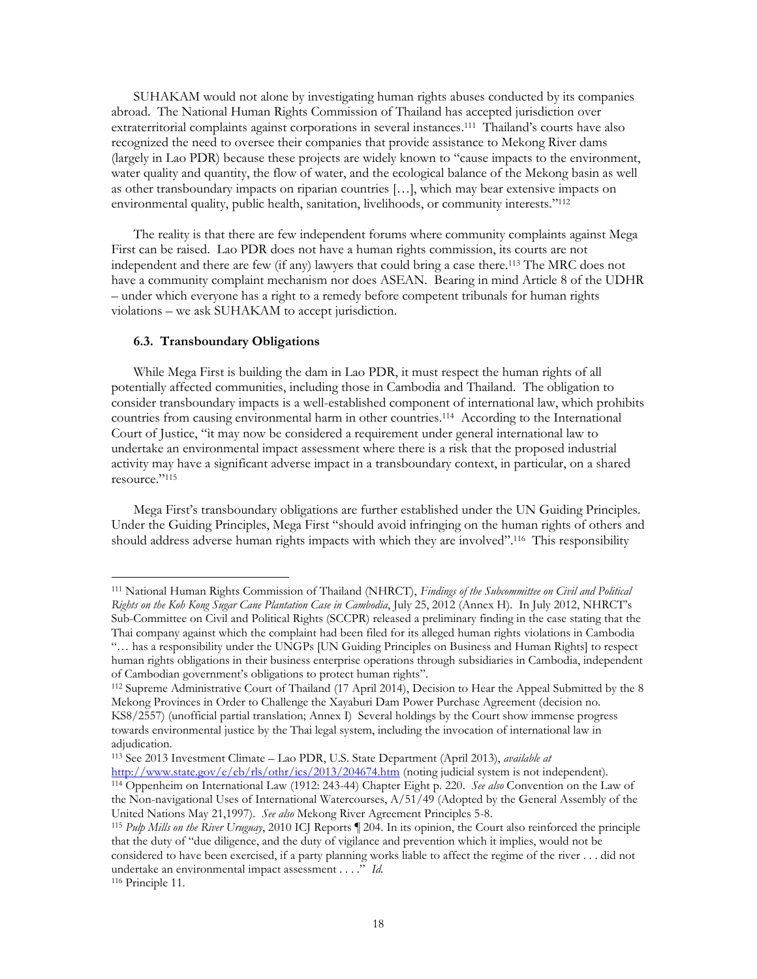SUHAKAM would not alone by investigating human rights abuses conducted by its companies abroad. The National Human Rights Commission of Thailand has accepted jurisdiction over extraterritorial complaints against corporations in several instances.<sup>111</sup> Thailand's courts have also recognized the need to oversee their companies that provide assistance to Mekong River dams (largely in Lao PDR) because these projects are widely known to "cause impacts to the environment, water quality and quantity, the flow of water, and the ecological balance of the Mekong basin as well as other transboundary impacts on riparian countries […], which may bear extensive impacts on environmental quality, public health, sanitation, livelihoods, or community interests." 112

The reality is that there are few independent forums where community complaints against Mega First can be raised. Lao PDR does not have a human rights commission, its courts are not independent and there are few (if any) lawyers that could bring a case there. <sup>113</sup> The MRC does not have a community complaint mechanism nor does ASEAN. Bearing in mind Article 8 of the UDHR – under which everyone has a right to a remedy before competent tribunals for human rights violations – we ask SUHAKAM to accept jurisdiction.

#### **6.3. Transboundary Obligations**

 $\overline{a}$ 

While Mega First is building the dam in Lao PDR, it must respect the human rights of all potentially affected communities, including those in Cambodia and Thailand. The obligation to consider transboundary impacts is a well-established component of international law, which prohibits countries from causing environmental harm in other countries.<sup>114</sup> According to the International Court of Justice, "it may now be considered a requirement under general international law to undertake an environmental impact assessment where there is a risk that the proposed industrial activity may have a significant adverse impact in a transboundary context, in particular, on a shared resource."<sup>115</sup>

Mega First's transboundary obligations are further established under the UN Guiding Principles. Under the Guiding Principles, Mega First "should avoid infringing on the human rights of others and should address adverse human rights impacts with which they are involved".<sup>116</sup> This responsibility

<sup>113</sup> See 2013 Investment Climate – Lao PDR, U.S. State Department (April 2013), *available at*  <http://www.state.gov/e/eb/rls/othr/ics/2013/204674.htm> (noting judicial system is not independent).

<sup>111</sup> National Human Rights Commission of Thailand (NHRCT), *Findings of the Subcommittee on Civil and Political Rights on the Koh Kong Sugar Cane Plantation Case in Cambodia*, July 25, 2012 (Annex H). In July 2012, NHRCT's Sub-Committee on Civil and Political Rights (SCCPR) released a preliminary finding in the case stating that the Thai company against which the complaint had been filed for its alleged human rights violations in Cambodia "… has a responsibility under the UNGPs [UN Guiding Principles on Business and Human Rights] to respect human rights obligations in their business enterprise operations through subsidiaries in Cambodia, independent

of Cambodian government's obligations to protect human rights".

<sup>112</sup> Supreme Administrative Court of Thailand (17 April 2014), Decision to Hear the Appeal Submitted by the 8 Mekong Provinces in Order to Challenge the Xayaburi Dam Power Purchase Agreement (decision no. KS8/2557) (unofficial partial translation; Annex I) Several holdings by the Court show immense progress towards environmental justice by the Thai legal system, including the invocation of international law in adjudication.

<sup>114</sup> Oppenheim on International Law (1912: 243-44) Chapter Eight p. 220. *See also* Convention on the Law of the Non-navigational Uses of International Watercourses, A/51/49 (Adopted by the General Assembly of the United Nations May 21,1997). *See also* Mekong River Agreement Principles 5-8.

<sup>115</sup> *Pulp Mills on the River Uruguay*, 2010 ICJ Reports ¶ 204. In its opinion, the Court also reinforced the principle that the duty of "due diligence, and the duty of vigilance and prevention which it implies, would not be considered to have been exercised, if a party planning works liable to affect the regime of the river . . . did not undertake an environmental impact assessment . . . ." *Id.* <sup>116</sup> Principle 11.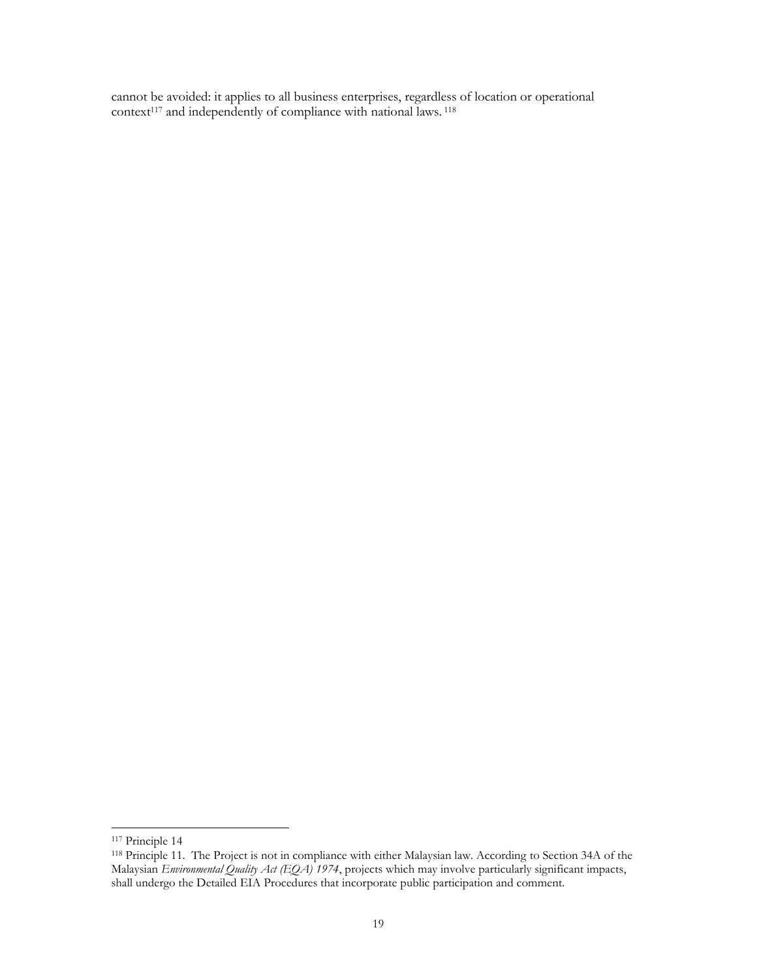cannot be avoided: it applies to all business enterprises, regardless of location or operational context<sup>117</sup> and independently of compliance with national laws. <sup>118</sup>

<sup>117</sup> Principle 14

<sup>118</sup> Principle 11. The Project is not in compliance with either Malaysian law. According to Section 34A of the Malaysian *Environmental Quality Act (EQA) 1974*, projects which may involve particularly significant impacts, shall undergo the Detailed EIA Procedures that incorporate public participation and comment.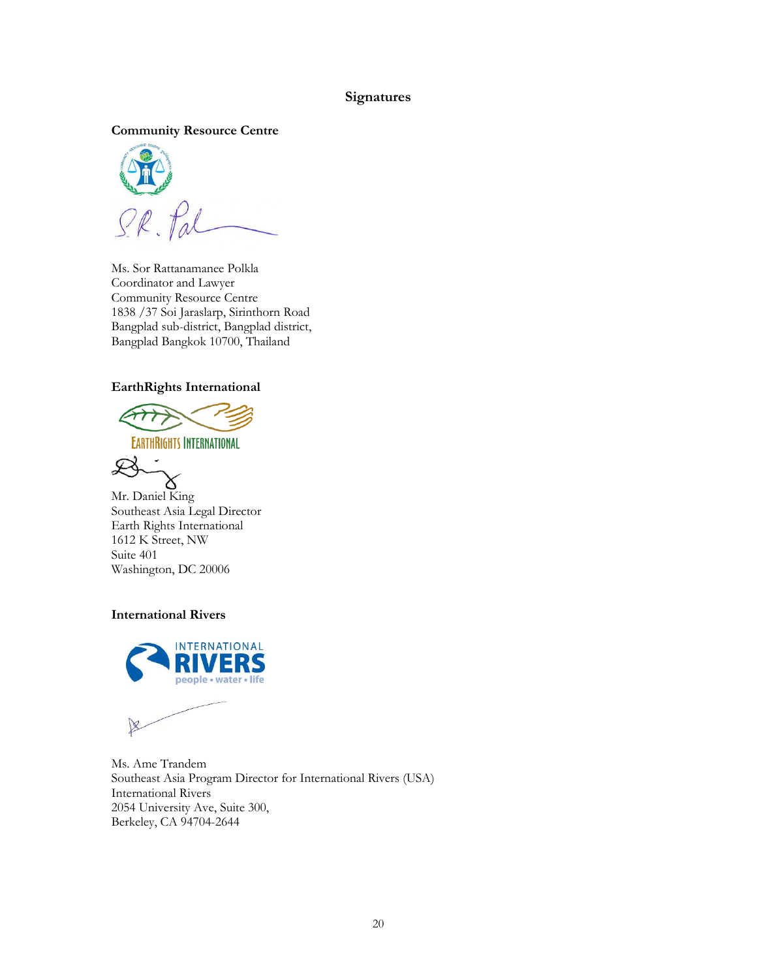# **Signatures**

**Community Resource Centre**



Ms. Sor Rattanamanee Polkla Coordinator and Lawyer Community Resource Centre 1838 /37 Soi Jaraslarp, Sirinthorn Road Bangplad sub-district, Bangplad district, Bangplad Bangkok 10700, Thailand

# **EarthRights International**



**EARTHRIGHTS INTERNATIONAL** 



Mr. Daniel King Southeast Asia Legal Director Earth Rights International 1612 K Street, NW Suite 401 Washington, DC 20006

# **International Rivers**



Ms. Ame Trandem Southeast Asia Program Director for International Rivers (USA) International Rivers 2054 University Ave, Suite 300, Berkeley, CA 94704-2644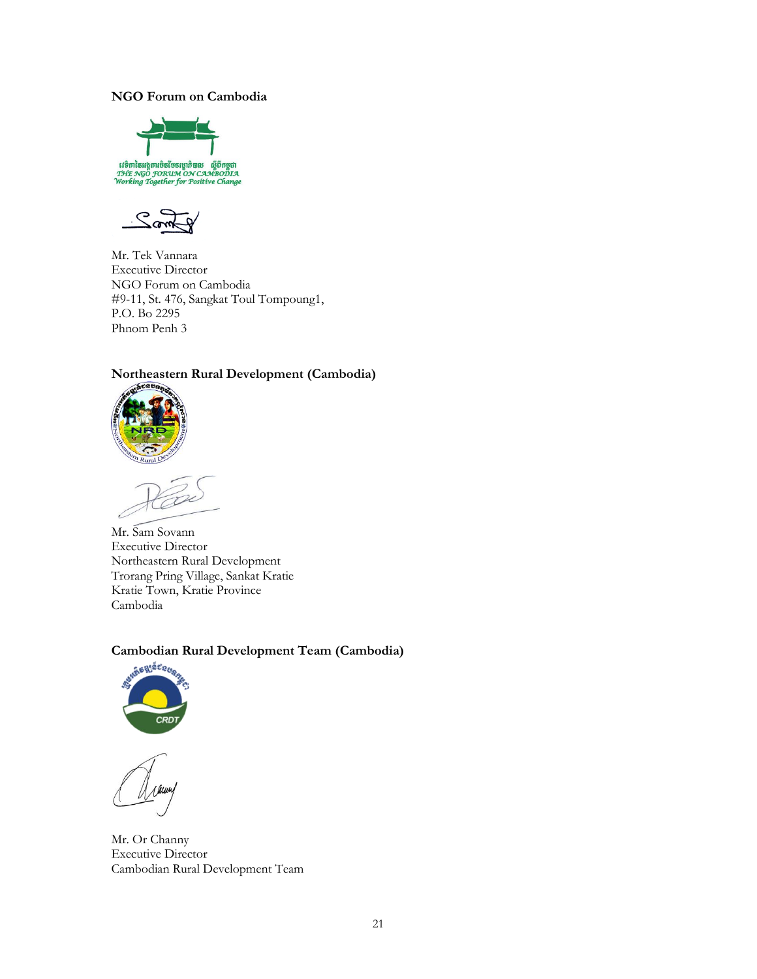# **NGO Forum on Cambodia**





Mr. Tek Vannara Executive Director NGO Forum on Cambodia #9-11, St. 476, Sangkat Toul Tompoung1, P.O. Bo 2295 Phnom Penh 3

# **Northeastern Rural Development (Cambodia)**



Mr. Sam Sovann Executive Director Northeastern Rural Development Trorang Pring Village, Sankat Kratie Kratie Town, Kratie Province Cambodia

# **Cambodian Rural Development Team (Cambodia)**



Mr. Or Channy Executive Director Cambodian Rural Development Team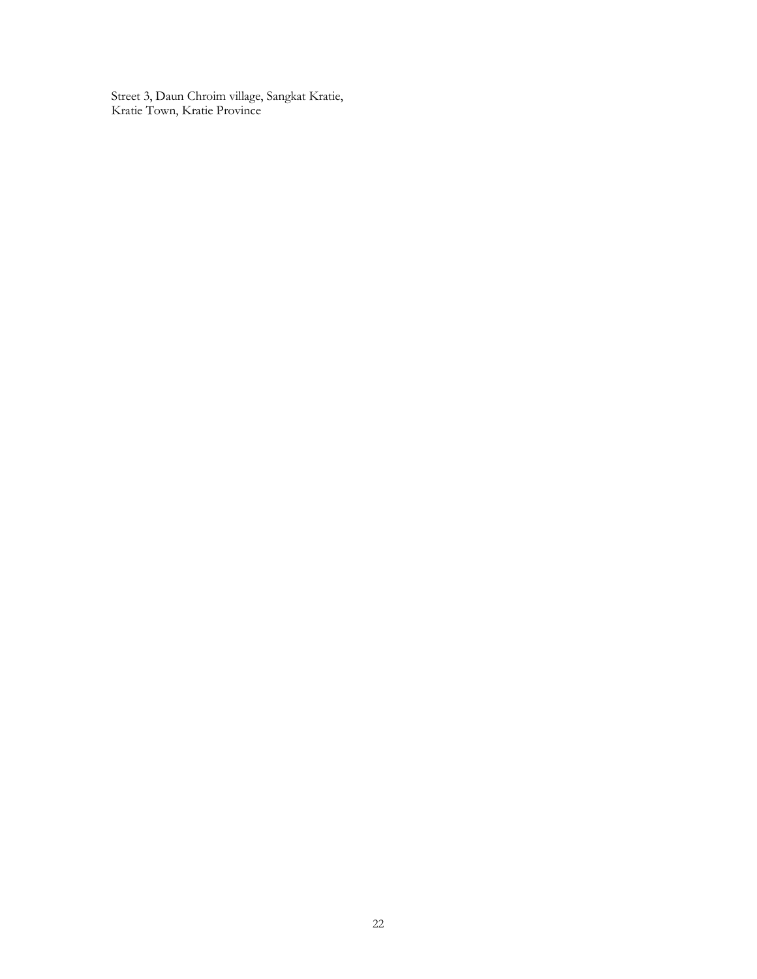Street 3, Daun Chroim village, Sangkat Kratie, Kratie Town, Kratie Province